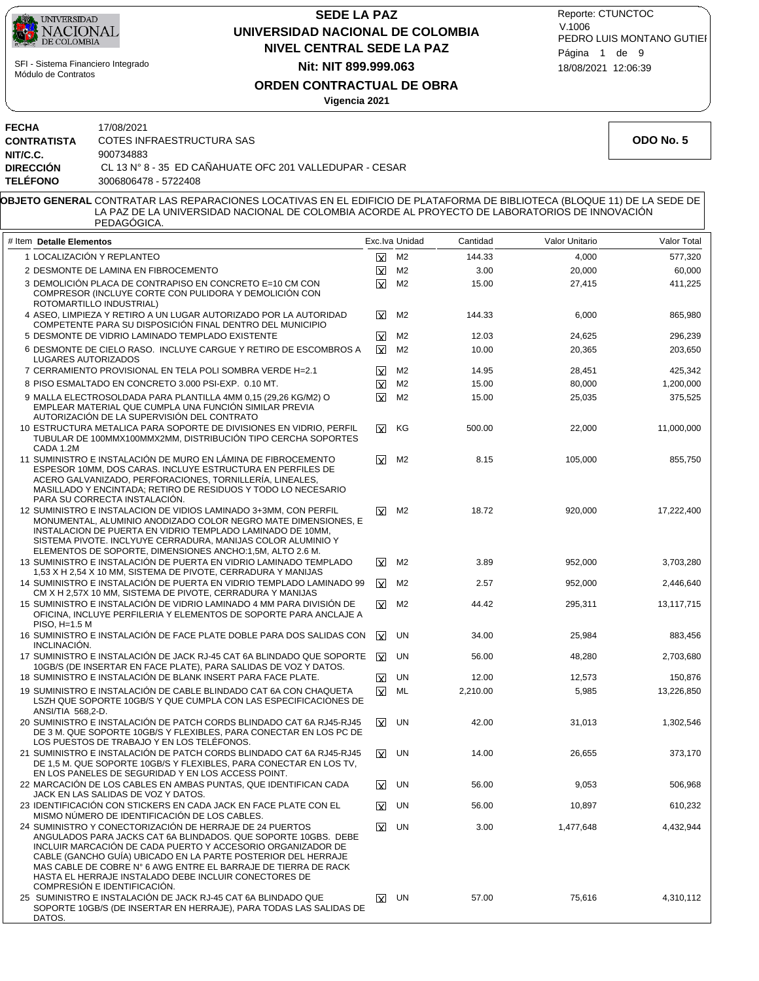| <b>UNIVERSIDAD</b> |
|--------------------|
| <b>NACIONAL</b>    |
| DE COLOMBIA        |

**FECHA** 17/08/2021

## **NIVEL CENTRAL SEDE LA PAZ SEDE LA PAZ UNIVERSIDAD NACIONAL DE COLOMBIA Nit: NIT 899.999.063**

18/08/2021 12:06:39 PEDRO LUIS MONTANO GUTIEI Reporte: CTUNCTOC V.1006 Página 1 de 9

**ORDEN CONTRACTUAL DE OBRA**

**Vigencia 2021**

| <b>CONTRATISTA</b><br>NIT/C.C.                                                                                                                        | COTES INFRAESTRUCTURA SAS<br>900734883                                                                                                                                                                                                                                                                                                                                                                                |                         |                         |          |           | ODO No. 5  |
|-------------------------------------------------------------------------------------------------------------------------------------------------------|-----------------------------------------------------------------------------------------------------------------------------------------------------------------------------------------------------------------------------------------------------------------------------------------------------------------------------------------------------------------------------------------------------------------------|-------------------------|-------------------------|----------|-----------|------------|
| <b>DIRECCIÓN</b><br><b>TELÉFONO</b>                                                                                                                   | CL 13 N° 8 - 35 ED CAÑAHUATE OFC 201 VALLEDUPAR - CESAR<br>3006806478 - 5722408                                                                                                                                                                                                                                                                                                                                       |                         |                         |          |           |            |
|                                                                                                                                                       |                                                                                                                                                                                                                                                                                                                                                                                                                       |                         |                         |          |           |            |
|                                                                                                                                                       | OBJETO GENERAL CONTRATAR LAS REPARACIONES LOCATIVAS EN EL EDIFICIO DE PLATAFORMA DE BIBLIOTECA (BLOQUE 11) DE LA SEDE DE<br>LA PAZ DE LA UNIVERSIDAD NACIONAL DE COLOMBIA ACORDE AL PROYECTO DE LABORATORIOS DE INNOVACIÓN<br>PEDAGOGICA.                                                                                                                                                                             |                         |                         |          |           |            |
| Exc.lva Unidad<br>Cantidad<br>Valor Unitario<br># Item Detalle Elementos                                                                              |                                                                                                                                                                                                                                                                                                                                                                                                                       |                         |                         |          |           |            |
|                                                                                                                                                       | 1 LOCALIZACIÓN Y REPLANTEO                                                                                                                                                                                                                                                                                                                                                                                            | $\boxtimes$             | M <sub>2</sub>          | 144.33   | 4,000     | 577,320    |
|                                                                                                                                                       | 2 DESMONTE DE LAMINA EN FIBROCEMENTO                                                                                                                                                                                                                                                                                                                                                                                  | $\boxtimes$             | M <sub>2</sub>          | 3.00     | 20,000    | 60,000     |
|                                                                                                                                                       | 3 DEMOLICIÓN PLACA DE CONTRAPISO EN CONCRETO E=10 CM CON<br>COMPRESOR (INCLUYE CORTE CON PULIDORA Y DEMOLICION CON<br>ROTOMARTILLO INDUSTRIAL)                                                                                                                                                                                                                                                                        | $\overline{\mathbf{x}}$ | M <sub>2</sub>          | 15.00    | 27,415    | 411,225    |
|                                                                                                                                                       | 4 ASEO, LIMPIEZA Y RETIRO A UN LUGAR AUTORIZADO POR LA AUTORIDAD<br>COMPETENTE PARA SU DISPOSICIÓN FINAL DENTRO DEL MUNICIPIO                                                                                                                                                                                                                                                                                         | ⊠                       | M <sub>2</sub>          | 144.33   | 6,000     | 865,980    |
|                                                                                                                                                       | 5 DESMONTE DE VIDRIO LAMINADO TEMPLADO EXISTENTE                                                                                                                                                                                                                                                                                                                                                                      | $\overline{\mathbf{x}}$ | M2                      | 12.03    | 24,625    | 296,239    |
| LUGARES AUTORIZADOS                                                                                                                                   | 6 DESMONTE DE CIELO RASO. INCLUYE CARGUE Y RETIRO DE ESCOMBROS A                                                                                                                                                                                                                                                                                                                                                      | $\overline{\mathbf{x}}$ | M <sub>2</sub>          | 10.00    | 20,365    | 203,650    |
|                                                                                                                                                       | 7 CERRAMIENTO PROVISIONAL EN TELA POLI SOMBRA VERDE H=2.1                                                                                                                                                                                                                                                                                                                                                             | x                       | M <sub>2</sub>          | 14.95    | 28,451    | 425,342    |
|                                                                                                                                                       | 8 PISO ESMALTADO EN CONCRETO 3.000 PSI-EXP. 0.10 MT.                                                                                                                                                                                                                                                                                                                                                                  | $\overline{\mathbf{x}}$ | M <sub>2</sub>          | 15.00    | 80,000    | 1,200,000  |
|                                                                                                                                                       | 9 MALLA ELECTROSOLDADA PARA PLANTILLA 4MM 0,15 (29,26 KG/M2) O<br>EMPLEAR MATERIAL QUE CUMPLA UNA FUNCIÓN SIMILAR PREVIA<br>AUTORIZACIÓN DE LA SUPERVISIÓN DEL CONTRATO                                                                                                                                                                                                                                               | $\overline{\mathbf{x}}$ | M <sub>2</sub>          | 15.00    | 25,035    | 375,525    |
| CADA 1.2M                                                                                                                                             | 10 ESTRUCTURA METALICA PARA SOPORTE DE DIVISIONES EN VIDRIO, PERFIL<br>TUBULAR DE 100MMX100MMX2MM, DISTRIBUCION TIPO CERCHA SOPORTES                                                                                                                                                                                                                                                                                  | $\mathbf x$             | KG                      | 500.00   | 22,000    | 11,000,000 |
|                                                                                                                                                       | 11 SUMINISTRO E INSTALACIÓN DE MURO EN LÁMINA DE FIBROCEMENTO<br>ESPESOR 10MM, DOS CARAS. INCLUYE ESTRUCTURA EN PERFILES DE<br>ACERO GALVANIZADO, PERFORACIONES, TORNILLERIA, LINEALES,<br>MASILLADO Y ENCINTADA; RETIRO DE RESIDUOS Y TODO LO NECESARIO<br>PARA SU CORRECTA INSTALACIÓN.                                                                                                                             | ⊠                       | M2                      | 8.15     | 105,000   | 855,750    |
|                                                                                                                                                       | 12 SUMINISTRO E INSTALACION DE VIDIOS LAMINADO 3+3MM, CON PERFIL<br>MONUMENTAL, ALUMINIO ANODIZADO COLOR NEGRO MATE DIMENSIONES, E<br>INSTALACION DE PUERTA EN VIDRIO TEMPLADO LAMINADO DE 10MM,<br>SISTEMA PIVOTE. INCLYUYE CERRADURA, MANIJAS COLOR ALUMINIO Y<br>ELEMENTOS DE SOPORTE, DIMENSIONES ANCHO:1,5M, ALTO 2.6 M.                                                                                         | W                       | M <sub>2</sub>          | 18.72    | 920,000   | 17,222,400 |
| 13 SUMINISTRO E INSTALACIÓN DE PUERTA EN VIDRIO LAMINADO TEMPLADO<br>⊠<br>M2<br>3.89<br>1,53 X H 2,54 X 10 MM, SISTEMA DE PIVOTE, CERRADURA Y MANIJAS |                                                                                                                                                                                                                                                                                                                                                                                                                       | 952,000                 | 3,703,280               |          |           |            |
|                                                                                                                                                       | 14 SUMINISTRO E INSTALACIÓN DE PUERTA EN VIDRIO TEMPLADO LAMINADO 99<br>CM X H 2,57X 10 MM, SISTEMA DE PIVOTE, CERRADURA Y MANIJAS                                                                                                                                                                                                                                                                                    | ΙXΙ.                    | M <sub>2</sub>          | 2.57     | 952,000   | 2,446,640  |
| PISO, H=1.5 M                                                                                                                                         | 15 SUMINISTRO E INSTALACIÓN DE VIDRIO LAMINADO 4 MM PARA DIVISIÓN DE<br>OFICINA, INCLUYE PERFILERIA Y ELEMENTOS DE SOPORTE PARA ANCLAJE A                                                                                                                                                                                                                                                                             | ⊠                       | M2                      | 44.42    | 295,311   | 13,117,715 |
| INCLINACIÓN.                                                                                                                                          | 16 SUMINISTRO E INSTALACIÓN DE FACE PLATE DOBLE PARA DOS SALIDAS CON                                                                                                                                                                                                                                                                                                                                                  | $\mathbf x$             | UN                      | 34.00    | 25,984    | 883,456    |
|                                                                                                                                                       | 17 SUMINISTRO E INSTALACIÓN DE JACK RJ-45 CAT 6A BLINDADO QUE SOPORTE<br>10GB/S (DE INSERTAR EN FACE PLATE), PARA SALIDAS DE VOZ Y DATOS.                                                                                                                                                                                                                                                                             | $\overline{\mathbf{x}}$ | UN                      | 56.00    | 48,280    | 2,703,680  |
|                                                                                                                                                       | 18 SUMINISTRO E INSTALACIÓN DE BLANK INSERT PARA FACE PLATE.                                                                                                                                                                                                                                                                                                                                                          | <b>x</b>                | UN                      | 12.00    | 12,573    | 150,876    |
| ANSI/TIA 568,2-D.                                                                                                                                     | 19 SUMINISTRO E INSTALACIÓN DE CABLE BLINDADO CAT 6A CON CHAQUETA<br>LSZH QUE SOPORTE 10GB/S Y QUE CUMPLA CON LAS ESPECIFICACIONES DE                                                                                                                                                                                                                                                                                 |                         | $\boxed{\mathbf{X}}$ ML | 2,210.00 | 5,985     | 13,226,850 |
|                                                                                                                                                       | 20 SUMINISTRO E INSTALACIÓN DE PATCH CORDS BLINDADO CAT 6A RJ45-RJ45<br>DE 3 M. QUE SOPORTE 10GB/S Y FLEXIBLES, PARA CONECTAR EN LOS PC DE<br>LOS PUESTOS DE TRABAJO Y EN LOS TELÉFONOS.                                                                                                                                                                                                                              |                         | $X$ UN                  | 42.00    | 31,013    | 1,302,546  |
|                                                                                                                                                       | 21 SUMINISTRO E INSTALACIÓN DE PATCH CORDS BLINDADO CAT 6A RJ45-RJ45<br>DE 1,5 M. QUE SOPORTE 10GB/S Y FLEXIBLES, PARA CONECTAR EN LOS TV,<br>EN LOS PANELES DE SEGURIDAD Y EN LOS ACCESS POINT.                                                                                                                                                                                                                      |                         | $X$ UN                  | 14.00    | 26,655    | 373,170    |
|                                                                                                                                                       | 22 MARCACIÓN DE LOS CABLES EN AMBAS PUNTAS. QUE IDENTIFICAN CADA<br>JACK EN LAS SALIDAS DE VOZ Y DATOS.                                                                                                                                                                                                                                                                                                               | <b>x</b>                | UN                      | 56.00    | 9,053     | 506,968    |
|                                                                                                                                                       | 23 IDENTIFICACIÓN CON STICKERS EN CADA JACK EN FACE PLATE CON EL<br>MISMO NÚMERO DE IDENTIFICACIÓN DE LOS CABLES.                                                                                                                                                                                                                                                                                                     | ΙxΓ                     | UN                      | 56.00    | 10,897    | 610,232    |
|                                                                                                                                                       | 24 SUMINISTRO Y CONECTORIZACIÓN DE HERRAJE DE 24 PUERTOS<br>ANGULADOS PARA JACKS CAT 6A BLINDADOS. QUE SOPORTE 10GBS. DEBE<br>INCLUIR MARCACION DE CADA PUERTO Y ACCESORIO ORGANIZADOR DE<br>CABLE (GANCHO GUÍA) UBICADO EN LA PARTE POSTERIOR DEL HERRAJE<br>MAS CABLE DE COBRE N° 6 AWG ENTRE EL BARRAJE DE TIERRA DE RACK<br>HASTA EL HERRAJE INSTALADO DEBE INCLUIR CONECTORES DE<br>COMPRESION E IDENTIFICACION. | <b>x</b>                | UN                      | 3.00     | 1,477,648 | 4,432,944  |
| DATOS.                                                                                                                                                | 25 SUMINISTRO E INSTALACIÓN DE JACK RJ-45 CAT 6A BLINDADO QUE<br>SOPORTE 10GB/S (DE INSERTAR EN HERRAJE), PARA TODAS LAS SALIDAS DE                                                                                                                                                                                                                                                                                   |                         | $\boxed{\mathbf{X}}$ UN | 57.00    | 75,616    | 4,310,112  |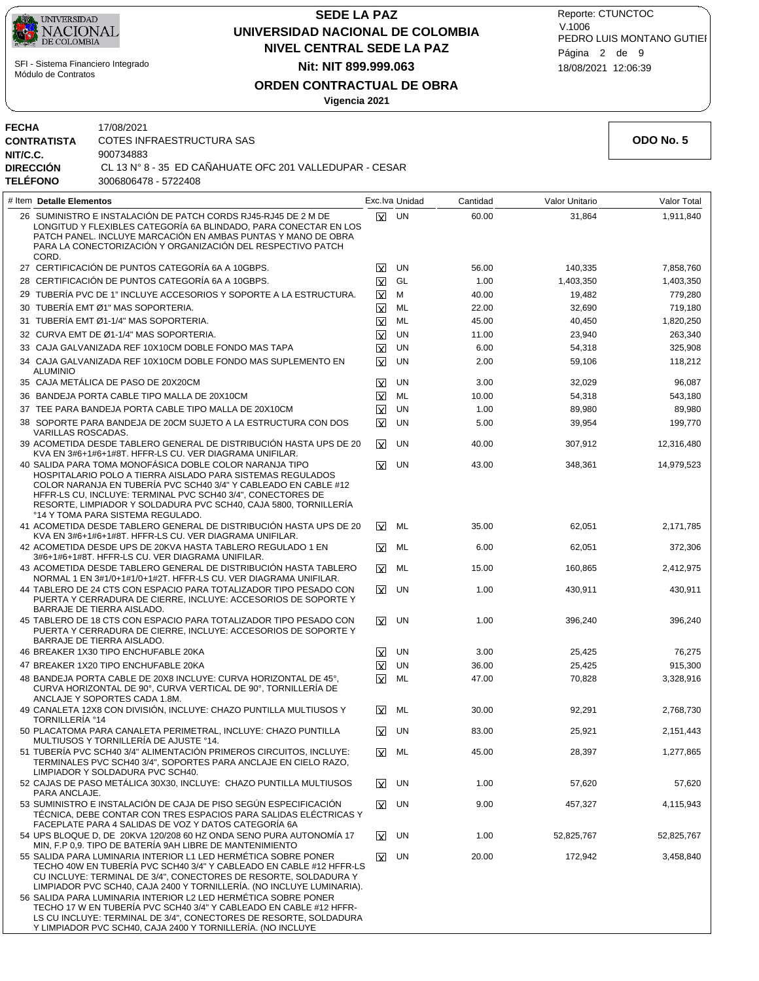

**FECHA** 17/08/2021

**NIT/C.C.** 900734883

**CONTRATISTA** COTES INFRAESTRUCTURA SAS

## **NIVEL CENTRAL SEDE LA PAZ SEDE LA PAZ UNIVERSIDAD NACIONAL DE COLOMBIA Nit: NIT 899.999.063**

18/08/2021 12:06:39 PEDRO LUIS MONTANO GUTIEI Reporte: CTUNCTOC V.1006 Página 2 de 9

31,864

Valor Unitario

 140,335 1,403,350 19,482 32,690 40,450 23,940 54,318 59,106 32,029 54,318 89,980 39,954 307,912 348,361

> 62,051 62,051 160,865 430,911

396,240

 25,425 25,425 70,828

 92,291 25,921 28,397

 57,620 457,327

 52,825,767 172,942

# **ORDEN CONTRACTUAL DE OBRA**

**Vigencia 2021**

UN

 $\overline{\mathbf{x}}$ 

 $\mathbf x$ 

9.00

 1.00 20.00

UN

UN X

| <b>DIRECCIÓN</b><br>CL 13 N° 8 - 35 ED CANAHUATE OFC 201 VALLEDUPAR - CESAR<br><b>TELÉFONO</b><br>3006806478 - 5722408 |                                                                                                                                                                                                                                                                                                                                                                  |                         |                |          |
|------------------------------------------------------------------------------------------------------------------------|------------------------------------------------------------------------------------------------------------------------------------------------------------------------------------------------------------------------------------------------------------------------------------------------------------------------------------------------------------------|-------------------------|----------------|----------|
| # Item Detalle Elementos                                                                                               |                                                                                                                                                                                                                                                                                                                                                                  |                         | Exc.lva Unidad | Cantidad |
| CORD.                                                                                                                  | 26 SUMINISTRO E INSTALACIÓN DE PATCH CORDS RJ45-RJ45 DE 2 M DE<br>LONGITUD Y FLEXIBLES CATEGORÍA 6A BLINDADO, PARA CONECTAR EN LOS<br>PATCH PANEL. INCLUYE MARCACIÓN EN AMBAS PUNTAS Y MANO DE OBRA<br>PARA LA CONECTORIZACIÓN Y ORGANIZACIÓN DEL RESPECTIVO PATCH                                                                                               | ΙxΙ                     | <b>UN</b>      | 60.00    |
|                                                                                                                        | 27 CERTIFICACIÓN DE PUNTOS CATEGORÍA 6A A 10GBPS.                                                                                                                                                                                                                                                                                                                | <b>x</b>                | <b>UN</b>      | 56.00    |
|                                                                                                                        | 28 CERTIFICACIÓN DE PUNTOS CATEGORÍA 6A A 10GBPS.                                                                                                                                                                                                                                                                                                                | $\overline{\mathbf{x}}$ | GL             | 1.00     |
|                                                                                                                        | 29 TUBERÍA PVC DE 1" INCLUYE ACCESORIOS Y SOPORTE A LA ESTRUCTURA.                                                                                                                                                                                                                                                                                               | $\overline{\mathbf{x}}$ | М              | 40.00    |
|                                                                                                                        | 30 TUBERÍA EMT Ø1" MAS SOPORTERIA.                                                                                                                                                                                                                                                                                                                               | ΙXΙ                     | ML             | 22.00    |
|                                                                                                                        | 31 TUBERÍA EMT Ø1-1/4" MAS SOPORTERIA.                                                                                                                                                                                                                                                                                                                           | ΙXΙ                     | <b>ML</b>      | 45.00    |
|                                                                                                                        | 32 CURVA EMT DE Ø1-1/4" MAS SOPORTERIA.                                                                                                                                                                                                                                                                                                                          | <b>x</b>                | <b>UN</b>      | 11.00    |
|                                                                                                                        | 33 CAJA GALVANIZADA REF 10X10CM DOBLE FONDO MAS TAPA                                                                                                                                                                                                                                                                                                             | $\overline{\mathbf{x}}$ | <b>UN</b>      | 6.00     |
| <b>ALUMINIO</b>                                                                                                        | 34 CAJA GALVANIZADA REF 10X10CM DOBLE FONDO MAS SUPLEMENTO EN                                                                                                                                                                                                                                                                                                    | ΙXΙ                     | <b>UN</b>      | 2.00     |
|                                                                                                                        | 35 CAJA METÁLICA DE PASO DE 20X20CM                                                                                                                                                                                                                                                                                                                              | ⊠                       | UN             | 3.00     |
|                                                                                                                        | 36 BANDEJA PORTA CABLE TIPO MALLA DE 20X10CM                                                                                                                                                                                                                                                                                                                     | $\overline{\mathbf{x}}$ | ML             | 10.00    |
|                                                                                                                        | 37 TEE PARA BANDEJA PORTA CABLE TIPO MALLA DE 20X10CM                                                                                                                                                                                                                                                                                                            | $\overline{\mathbf{x}}$ | <b>UN</b>      | 1.00     |
| VARILLAS ROSCADAS.                                                                                                     | 38 SOPORTE PARA BANDEJA DE 20CM SUJETO A LA ESTRUCTURA CON DOS                                                                                                                                                                                                                                                                                                   | $\overline{\mathbf{x}}$ | <b>UN</b>      | 5.00     |
|                                                                                                                        | 39 ACOMETIDA DESDE TABLERO GENERAL DE DISTRIBUCIÓN HASTA UPS DE 20<br>KVA EN 3#6+1#6+1#8T. HFFR-LS CU. VER DIAGRAMA UNIFILAR.                                                                                                                                                                                                                                    | ΙY                      | UN             | 40.00    |
|                                                                                                                        | 40 SALIDA PARA TOMA MONOFÁSICA DOBLE COLOR NARANJA TIPO<br>HOSPITALARIO POLO A TIERRA AISLADO PARA SISTEMAS REGULADOS<br>COLOR NARANJA EN TUBERÍA PVC SCH40 3/4" Y CABLEADO EN CABLE #12<br>HFFR-LS CU, INCLUYE: TERMINAL PVC SCH40 3/4", CONECTORES DE<br>RESORTE, LIMPIADOR Y SOLDADURA PVC SCH40, CAJA 5800, TORNILLERÍA<br>°14 Y TOMA PARA SISTEMA REGULADO. | ⊠                       | <b>UN</b>      | 43.00    |
|                                                                                                                        | 41 ACOMETIDA DESDE TABLERO GENERAL DE DISTRIBUCIÓN HASTA UPS DE 20<br>KVA EN 3#6+1#6+1#8T. HFFR-LS CU. VER DIAGRAMA UNIFILAR.                                                                                                                                                                                                                                    | x                       | ML             | 35.00    |
|                                                                                                                        | 42 ACOMETIDA DESDE UPS DE 20KVA HASTA TABLERO REGULADO 1 EN<br>3#6+1#6+1#8T. HFFR-LS CU. VER DIAGRAMA UNIFILAR.                                                                                                                                                                                                                                                  | $\overline{\mathbf{x}}$ | ML             | 6.00     |
|                                                                                                                        | 43 ACOMETIDA DESDE TABLERO GENERAL DE DISTRIBUCIÓN HASTA TABLERO<br>NORMAL 1 EN 3#1/0+1#1/0+1#2T. HFFR-LS CU. VER DIAGRAMA UNIFILAR.                                                                                                                                                                                                                             | x                       | ML             | 15.00    |
|                                                                                                                        | 44 TABLERO DE 24 CTS CON ESPACIO PARA TOTALIZADOR TIPO PESADO CON<br>PUERTA Y CERRADURA DE CIERRE. INCLUYE: ACCESORIOS DE SOPORTE Y<br>BARRAJE DE TIERRA AISLADO.                                                                                                                                                                                                | $\overline{\mathbf{x}}$ | UN             | 1.00     |
|                                                                                                                        | 45 TABLERO DE 18 CTS CON ESPACIO PARA TOTALIZADOR TIPO PESADO CON<br>PUERTA Y CERRADURA DE CIERRE, INCLUYE: ACCESORIOS DE SOPORTE Y<br>BARRAJE DE TIERRA AISLADO.                                                                                                                                                                                                | x                       | UN             | 1.00     |
|                                                                                                                        | 46 BREAKER 1X30 TIPO ENCHUFABLE 20KA                                                                                                                                                                                                                                                                                                                             | ΙY                      | <b>UN</b>      | 3.00     |
|                                                                                                                        | 47 BREAKER 1X20 TIPO ENCHUFABLE 20KA                                                                                                                                                                                                                                                                                                                             | M                       | <b>UN</b>      | 36.00    |
|                                                                                                                        | 48 BANDEJA PORTA CABLE DE 20X8 INCLUYE: CURVA HORIZONTAL DE 45°,<br>CURVA HORIZONTAL DE 90°, CURVA VERTICAL DE 90°, TORNILLERÍA DE<br>ANCLAJE Y SOPORTES CADA 1.8M.                                                                                                                                                                                              | ⊠                       | <b>ML</b>      | 47.00    |
| TORNILLERIA °14                                                                                                        | 49 CANALETA 12X8 CON DIVISIÓN, INCLUYE: CHAZO PUNTILLA MULTIUSOS Y                                                                                                                                                                                                                                                                                               | ⊠                       | ML             | 30.00    |
|                                                                                                                        | 50 PLACATOMA PARA CANALETA PERIMETRAL, INCLUYE: CHAZO PUNTILLA<br>MULTIUSOS Y TORNILLERÍA DE AJUSTE °14.                                                                                                                                                                                                                                                         | ΙV                      | UN             | 83.00    |
|                                                                                                                        | 51 TUBERÍA PVC SCH40 3/4" ALIMENTACIÓN PRIMEROS CIRCUITOS. INCLUYE:<br>TERMINALES PVC SCH40 3/4", SOPORTES PARA ANCLAJE EN CIELO RAZO,<br>LIMPIADOR Y SOLDADURA PVC SCH40.                                                                                                                                                                                       | $\overline{\mathbf{x}}$ | ML             | 45.00    |
|                                                                                                                        | 52 CAJAS DE PASO METÁLICA 30X30, INCLUYE: CHAZO PUNTILLA MULTIUSOS                                                                                                                                                                                                                                                                                               | M                       | UN             | 1.00     |

- CAJAS DE PASO METÁLICA 30X30, INCLUYE: CHAZO PUNTILLA MULTIUSOS 52 PARA ANCLAJE. 53 SUMINISTRO E INSTALACION DE CAJA DE PISO SEGÚN ESPECIFICACIÓN
- TÉCNICA, DEBE CONTAR CON TRES ESPACIOS PARA SALIDAS ELÉCTRICAS Y FACEPLATE PARA 4 SALIDAS DE VOZ Y DATOS CATEGORÍA 6A UPS BLOQUE D, DE 20KVA 120/208 60 HZ ONDA SENO PURA AUTONOMÍA 17 54
- MIN, F.P 0,9. TIPO DE BATERÍA 9AH LIBRE DE MANTENIMIENTO
- SALIDA PARA LUMINARIA INTERIOR L1 LED HERMÉTICA SOBRE PONER 55 TECHO 40W EN TUBERÍA PVC SCH40 3/4" Y CABLEADO EN CABLE #12 HFFR-LS CU INCLUYE: TERMINAL DE 3/4", CONECTORES DE RESORTE, SOLDADURA Y LIMPIADOR PVC SCH40, CAJA 2400 Y TORNILLERÍA. (NO INCLUYE LUMINARIA).
- SALIDA PARA LUMINARIA INTERIOR L2 LED HERMÉTICA SOBRE PONER 56 TECHO 17 W EN TUBERÍA PVC SCH40 3/4" Y CABLEADO EN CABLE #12 HFFR-LS CU INCLUYE: TERMINAL DE 3/4", CONECTORES DE RESORTE, SOLDADURA Y LIMPIADOR PVC SCH40, CAJA 2400 Y TORNILLERÍA. (NO INCLUYE

**ODO No. 5**

1,911,840

Valor Total

 7,858,760 1,403,350 779,280 719,180 1,820,250 263,340 325,908 118,212 96,087 543,180 89,980 199,770 12,316,480 14,979,523

 2,171,785 372,306 2,412,975 430,911

396,240

 76,275 915,300 3,328,916

 2,768,730 2,151,443 1,277,865

 57,620 4,115,943

 52,825,767 3,458,840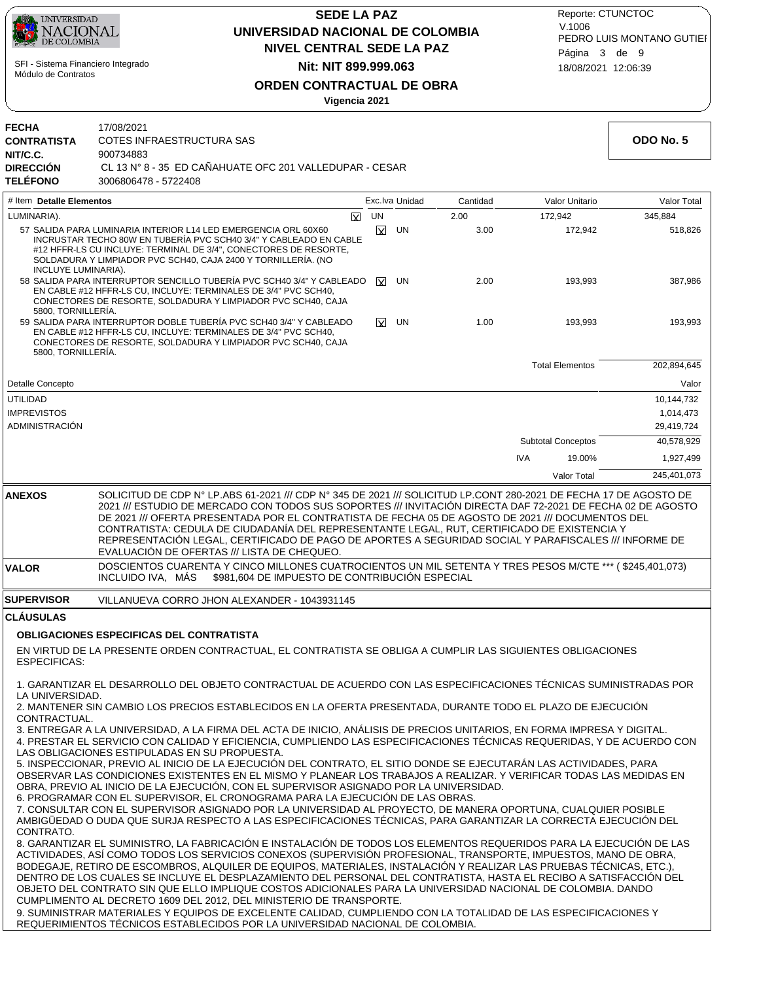

## **NIVEL CENTRAL SEDE LA PAZ SEDE LA PAZ UNIVERSIDAD NACIONAL DE COLOMBIA Nit: NIT 899.999.063**

18/08/2021 12:06:39 PEDRO LUIS MONTANO GUTIEI Reporte: CTUNCTOC V.1006 Página 3 de 9

**ORDEN CONTRACTUAL DE OBRA**

**Vigencia 2021**

|                                                                                       | Vigencia 2021                                                                                                                                                                                                                                                                                                                                                                                                                                                                                                                                                                                |                         |                |          |            |                           |             |
|---------------------------------------------------------------------------------------|----------------------------------------------------------------------------------------------------------------------------------------------------------------------------------------------------------------------------------------------------------------------------------------------------------------------------------------------------------------------------------------------------------------------------------------------------------------------------------------------------------------------------------------------------------------------------------------------|-------------------------|----------------|----------|------------|---------------------------|-------------|
| <b>FECHA</b><br><b>CONTRATISTA</b><br>NIT/C.C.<br><b>DIRECCIÓN</b><br><b>TELÉFONO</b> | 17/08/2021<br>COTES INFRAESTRUCTURA SAS<br>900734883<br>CL 13 N° 8 - 35 ED CAÑAHUATE OFC 201 VALLEDUPAR - CESAR<br>3006806478 - 5722408                                                                                                                                                                                                                                                                                                                                                                                                                                                      |                         |                |          |            |                           | ODO No. 5   |
| # Item Detalle Elementos                                                              |                                                                                                                                                                                                                                                                                                                                                                                                                                                                                                                                                                                              |                         | Exc.lva Unidad | Cantidad |            | Valor Unitario            | Valor Total |
| LUMINARIA).                                                                           | $\overline{\mathbf{x}}$                                                                                                                                                                                                                                                                                                                                                                                                                                                                                                                                                                      | UN                      |                | 2.00     |            | 172,942                   | 345,884     |
| INCLUYE LUMINARIA).                                                                   | 57 SALIDA PARA LUMINARIA INTERIOR L14 LED EMERGENCIA ORL 60X60<br>INCRUSTAR TECHO 80W EN TUBERÍA PVC SCH40 3/4" Y CABLEADO EN CABLE<br>#12 HFFR-LS CU INCLUYE: TERMINAL DE 3/4", CONECTORES DE RESORTE,<br>SOLDADURA Y LIMPIADOR PVC SCH40, CAJA 2400 Y TORNILLERÍA. (NO                                                                                                                                                                                                                                                                                                                     | $\boxtimes$             | UN             | 3.00     |            | 172,942                   | 518,826     |
| 5800, TORNILLERÍA.                                                                    | 58 SALIDA PARA INTERRUPTOR SENCILLO TUBERÍA PVC SCH40 3/4" Y CABLEADO<br>EN CABLE #12 HFFR-LS CU, INCLUYE: TERMINALES DE 3/4" PVC SCH40,<br>CONECTORES DE RESORTE, SOLDADURA Y LIMPIADOR PVC SCH40, CAJA                                                                                                                                                                                                                                                                                                                                                                                     | $\overline{\mathbf{x}}$ | UN             | 2.00     |            | 193,993                   | 387,986     |
| 5800, TORNILLERIA.                                                                    | 59 SALIDA PARA INTERRUPTOR DOBLE TUBERÍA PVC SCH40 3/4" Y CABLEADO<br>EN CABLE #12 HFFR-LS CU, INCLUYE: TERMINALES DE 3/4" PVC SCH40,<br>CONECTORES DE RESORTE, SOLDADURA Y LIMPIADOR PVC SCH40, CAJA                                                                                                                                                                                                                                                                                                                                                                                        | ΙXΙ.                    | UN             | 1.00     |            | 193,993                   | 193,993     |
|                                                                                       |                                                                                                                                                                                                                                                                                                                                                                                                                                                                                                                                                                                              |                         |                |          |            | <b>Total Elementos</b>    | 202,894,645 |
| Detalle Concepto                                                                      |                                                                                                                                                                                                                                                                                                                                                                                                                                                                                                                                                                                              |                         |                |          |            |                           | Valor       |
| <b>UTILIDAD</b>                                                                       |                                                                                                                                                                                                                                                                                                                                                                                                                                                                                                                                                                                              |                         |                |          |            |                           | 10,144,732  |
| <b>IMPREVISTOS</b>                                                                    |                                                                                                                                                                                                                                                                                                                                                                                                                                                                                                                                                                                              |                         |                |          |            |                           | 1,014,473   |
| ADMINISTRACIÓN                                                                        |                                                                                                                                                                                                                                                                                                                                                                                                                                                                                                                                                                                              |                         |                |          |            |                           | 29,419,724  |
|                                                                                       |                                                                                                                                                                                                                                                                                                                                                                                                                                                                                                                                                                                              |                         |                |          |            | <b>Subtotal Conceptos</b> | 40,578,929  |
|                                                                                       |                                                                                                                                                                                                                                                                                                                                                                                                                                                                                                                                                                                              |                         |                |          | <b>IVA</b> | 19.00%                    | 1,927,499   |
|                                                                                       |                                                                                                                                                                                                                                                                                                                                                                                                                                                                                                                                                                                              |                         |                |          |            | Valor Total               | 245,401,073 |
| <b>ANEXOS</b>                                                                         | SOLICITUD DE CDP N° LP.ABS 61-2021 /// CDP N° 345 DE 2021 /// SOLICITUD LP.CONT 280-2021 DE FECHA 17 DE AGOSTO DE<br>2021 /// ESTUDIO DE MERCADO CON TODOS SUS SOPORTES /// INVITACIÓN DIRECTA DAF 72-2021 DE FECHA 02 DE AGOSTO<br>DE 2021 /// OFERTA PRESENTADA POR EL CONTRATISTA DE FECHA 05 DE AGOSTO DE 2021 /// DOCUMENTOS DEL<br>CONTRATISTA: CEDULA DE CIUDADANÍA DEL REPRESENTANTE LEGAL, RUT, CERTIFICADO DE EXISTENCIA Y<br>REPRESENTACIÓN LEGAL, CERTIFICADO DE PAGO DE APORTES A SEGURIDAD SOCIAL Y PARAFISCALES /// INFORME DE<br>EVALUACIÓN DE OFERTAS /// LISTA DE CHEQUEO. |                         |                |          |            |                           |             |
| <b>VALOR</b>                                                                          | DOSCIENTOS CUARENTA Y CINCO MILLONES CUATROCIENTOS UN MIL SETENTA Y TRES PESOS M/CTE *** (\$245,401,073)<br>\$981,604 DE IMPUESTO DE CONTRIBUCIÓN ESPECIAL<br>INCLUIDO IVA, MAS                                                                                                                                                                                                                                                                                                                                                                                                              |                         |                |          |            |                           |             |
| <b>SUPERVISOR</b>                                                                     | VILLANUEVA CORRO JHON ALEXANDER - 1043931145                                                                                                                                                                                                                                                                                                                                                                                                                                                                                                                                                 |                         |                |          |            |                           |             |
| <b>CLÁUSULAS</b>                                                                      |                                                                                                                                                                                                                                                                                                                                                                                                                                                                                                                                                                                              |                         |                |          |            |                           |             |
|                                                                                       | <b>OBLIGACIONES ESPECIFICAS DEL CONTRATISTA</b>                                                                                                                                                                                                                                                                                                                                                                                                                                                                                                                                              |                         |                |          |            |                           |             |
| <b>ESPECIFICAS:</b>                                                                   | EN VIRTUD DE LA PRESENTE ORDEN CONTRACTUAL, EL CONTRATISTA SE OBLIGA A CUMPLIR LAS SIGUIENTES OBLIGACIONES                                                                                                                                                                                                                                                                                                                                                                                                                                                                                   |                         |                |          |            |                           |             |
| LA UNIVERSIDAD.                                                                       | 1. GARANTIZAR EL DESARROLLO DEL OBJETO CONTRACTUAL DE ACUERDO CON LAS ESPECIFICACIONES TÉCNICAS SUMINISTRADAS POR<br>2. MANTENER SIN CAMBIO LOS PRECIOS ESTABLECIDOS EN LA OFERTA PRESENTADA. DURANTE TODO EL PLAZO DE EJECUCIÓN                                                                                                                                                                                                                                                                                                                                                             |                         |                |          |            |                           |             |
| CONTRACTUAL.                                                                          | 3. ENTREGAR A LA UNIVERSIDAD, A LA FIRMA DEL ACTA DE INICIO, ANÁLISIS DE PRECIOS UNITARIOS, EN FORMA IMPRESA Y DIGITAL.<br>4. PRESTAR EL SERVICIO CON CALIDAD Y EFICIENCIA, CUMPLIENDO LAS ESPECIFICACIONES TÉCNICAS REQUERIDAS, Y DE ACUERDO CON                                                                                                                                                                                                                                                                                                                                            |                         |                |          |            |                           |             |
|                                                                                       | LAS OBLIGACIONES ESTIPULADAS EN SU PROPUESTA.<br>5. INSPECCIONAR, PREVIO AL INICIO DE LA EJECUCIÓN DEL CONTRATO, EL SITIO DONDE SE EJECUTARÁN LAS ACTIVIDADES, PARA<br>OBSERVAR LAS CONDICIONES EXISTENTES EN EL MISMO Y PLANEAR LOS TRABAJOS A REALIZAR. Y VERIFICAR TODAS LAS MEDIDAS EN<br>OBRA, PREVIO AL INICIO DE LA EJECUCIÓN, CON EL SUPERVISOR ASIGNADO POR LA UNIVERSIDAD.<br>6. PROGRAMAR CON EL SUPERVISOR, EL CRONOGRAMA PARA LA EJECUCIÓN DE LAS OBRAS.<br>7. CONSULTAR CON EL SUPERVISOR ASIGNADO POR LA UNIVERSIDAD AL PROYECTO, DE MANERA OPORTUNA, CUALQUIER POSIBLE       |                         |                |          |            |                           |             |
| CONTRATO.                                                                             | AMBIGÜEDAD O DUDA QUE SURJA RESPECTO A LAS ESPECIFICACIONES TÉCNICAS, PARA GARANTIZAR LA CORRECTA EJECUCIÓN DEL<br>8. GARANTIZAR EL SUMINISTRO, LA FABRICACIÓN E INSTALACIÓN DE TODOS LOS ELEMENTOS REQUERIDOS PARA LA EJECUCIÓN DE LAS                                                                                                                                                                                                                                                                                                                                                      |                         |                |          |            |                           |             |
|                                                                                       | ACTIVIDADES, ASÍ COMO TODOS LOS SERVICIOS CONEXOS (SUPERVISIÓN PROFESIONAL, TRANSPORTE, IMPUESTOS, MANO DE OBRA,<br>BODEGAJE, RETIRO DE ESCOMBROS, ALQUILER DE EQUIPOS, MATERIALES, INSTALACIÓN Y REALIZAR LAS PRUEBAS TÉCNICAS, ETC.),<br>DENTRO DE LOS CUALES SE INCLUYE EL DESPLAZAMIENTO DEL PERSONAL DEL CONTRATISTA, HASTA EL RECIBO A SATISFACCIÓN DEL<br>OBJETO DEL CONTRATO SIN QUE ELLO IMPLIQUE COSTOS ADICIONALES PARA LA UNIVERSIDAD NACIONAL DE COLOMBIA. DANDO                                                                                                                |                         |                |          |            |                           |             |

CUMPLIMENTO AL DECRETO 1609 DEL 2012, DEL MINISTERIO DE TRANSPORTE.

REQUERIMIENTOS TÉCNICOS ESTABLECIDOS POR LA UNIVERSIDAD NACIONAL DE COLOMBIA.

9. SUMINISTRAR MATERIALES Y EQUIPOS DE EXCELENTE CALIDAD, CUMPLIENDO CON LA TOTALIDAD DE LAS ESPECIFICACIONES Y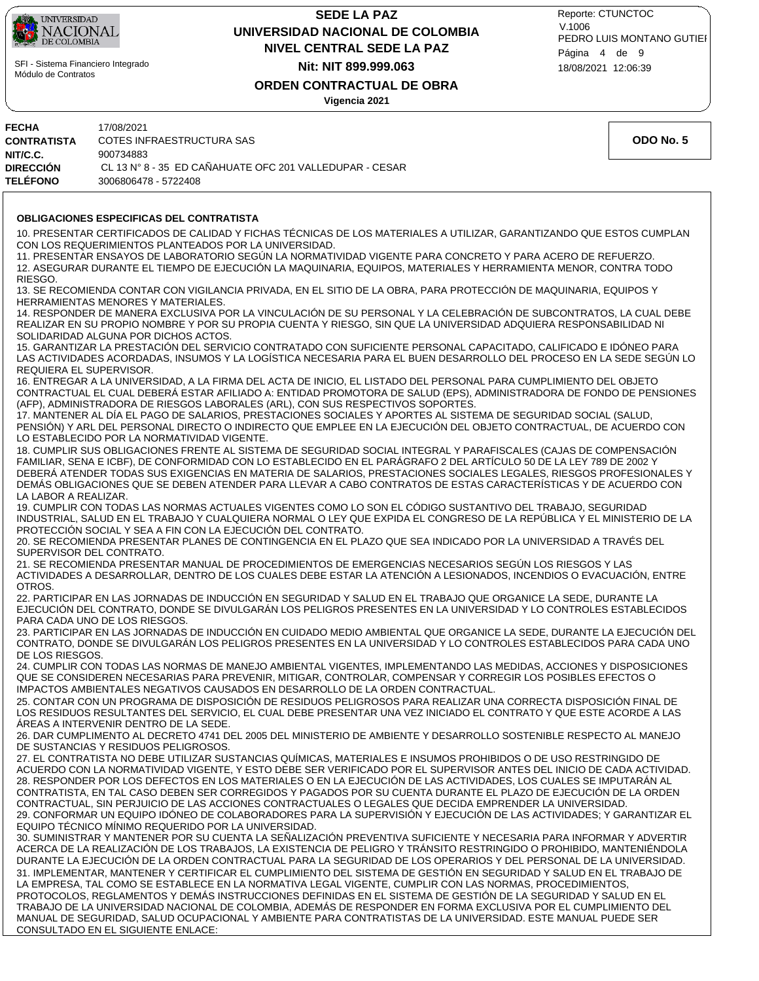

## **NIVEL CENTRAL SEDE LA PAZ SEDE LA PAZ UNIVERSIDAD NACIONAL DE COLOMBIA Nit: NIT 899.999.063**

18/08/2021 12:06:39 PEDRO LUIS MONTANO GUTIEI Reporte: CTUNCTOC V.1006 Página 4 de 9

## **ORDEN CONTRACTUAL DE OBRA**

**Vigencia 2021**

| FECHA                    | 17/08/2021                                                                                                                                                                                                                     |           |
|--------------------------|--------------------------------------------------------------------------------------------------------------------------------------------------------------------------------------------------------------------------------|-----------|
| CONTRATISTA              | COTES INFRAESTRUCTURA SAS                                                                                                                                                                                                      | ODO No. 5 |
| NIT/C.C.                 | 900734883                                                                                                                                                                                                                      |           |
| DIRECCIÓN                | CL 13 N° 8 - 35 ED CAÑAHUATE OFC 201 VALLEDUPAR - CESAR                                                                                                                                                                        |           |
| TELÉFONO                 | 3006806478 - 5722408                                                                                                                                                                                                           |           |
|                          |                                                                                                                                                                                                                                |           |
|                          | <b>OBLIGACIONES ESPECIFICAS DEL CONTRATISTA</b>                                                                                                                                                                                |           |
|                          | 10. PRESENTAR CERTIFICADOS DE CALIDAD Y FICHAS TÉCNICAS DE LOS MATERIALES A UTILIZAR, GARANTIZANDO QUE ESTOS CUMPLAN                                                                                                           |           |
|                          | CON LOS REQUERIMIENTOS PLANTEADOS POR LA UNIVERSIDAD.                                                                                                                                                                          |           |
|                          | 11. PRESENTAR ENSAYOS DE LABORATORIO SEGÚN LA NORMATIVIDAD VIGENTE PARA CONCRETO Y PARA ACERO DE REFUERZO.                                                                                                                     |           |
|                          | 12. ASEGURAR DURANTE EL TIEMPO DE EJECUCIÓN LA MAQUINARIA, EQUIPOS, MATERIALES Y HERRAMIENTA MENOR, CONTRA TODO                                                                                                                |           |
| RIESGO.                  |                                                                                                                                                                                                                                |           |
|                          | 13. SE RECOMIENDA CONTAR CON VIGILANCIA PRIVADA, EN EL SITIO DE LA OBRA, PARA PROTECCIÓN DE MAQUINARIA, EQUIPOS Y                                                                                                              |           |
|                          | <b>HERRAMIENTAS MENORES Y MATERIALES.</b>                                                                                                                                                                                      |           |
|                          | 14. RESPONDER DE MANERA EXCLUSIVA POR LA VINCULACIÓN DE SU PERSONAL Y LA CELEBRACIÓN DE SUBCONTRATOS, LA CUAL DEBE                                                                                                             |           |
|                          | REALIZAR EN SU PROPIO NOMBRE Y POR SU PROPIA CUENTA Y RIESGO, SIN QUE LA UNIVERSIDAD ADQUIERA RESPONSABILIDAD NI<br>SOLIDARIDAD ALGUNA POR DICHOS ACTOS.                                                                       |           |
|                          | 15. GARANTIZAR LA PRESTACIÓN DEL SERVICIO CONTRATADO CON SUFICIENTE PERSONAL CAPACITADO, CALIFICADO E IDÓNEO PARA                                                                                                              |           |
|                          | LAS ACTIVIDADES ACORDADAS, INSUMOS Y LA LOGÍSTICA NECESARIA PARA EL BUEN DESARROLLO DEL PROCESO EN LA SEDE SEGÚN LO                                                                                                            |           |
| REQUIERA EL SUPERVISOR.  |                                                                                                                                                                                                                                |           |
|                          | 16. ENTREGAR A LA UNIVERSIDAD, A LA FIRMA DEL ACTA DE INICIO, EL LISTADO DEL PERSONAL PARA CUMPLIMIENTO DEL OBJETO                                                                                                             |           |
|                          | CONTRACTUAL EL CUAL DEBERÁ ESTAR AFILIADO A: ENTIDAD PROMOTORA DE SALUD (EPS), ADMINISTRADORA DE FONDO DE PENSIONES                                                                                                            |           |
|                          | (AFP), ADMINISTRADORA DE RIESGOS LABORALES (ARL), CON SUS RESPECTIVOS SOPORTES.<br>17. MANTENER AL DÍA EL PAGO DE SALARIOS, PRESTACIONES SOCIALES Y APORTES AL SISTEMA DE SEGURIDAD SOCIAL (SALUD,                             |           |
|                          | PENSIÓN) Y ARL DEL PERSONAL DIRECTO O INDIRECTO QUE EMPLEE EN LA EJECUCIÓN DEL OBJETO CONTRACTUAL, DE ACUERDO CON                                                                                                              |           |
|                          | LO ESTABLECIDO POR LA NORMATIVIDAD VIGENTE.                                                                                                                                                                                    |           |
|                          | 18. CUMPLIR SUS OBLIGACIONES FRENTE AL SISTEMA DE SEGURIDAD SOCIAL INTEGRAL Y PARAFISCALES (CAJAS DE COMPENSACIÓN                                                                                                              |           |
|                          | FAMILIAR, SENA E ICBF), DE CONFORMIDAD CON LO ESTABLECIDO EN EL PARÁGRAFO 2 DEL ARTÍCULO 50 DE LA LEY 789 DE 2002 Y                                                                                                            |           |
|                          | DEBERÁ ATENDER TODAS SUS EXIGENCIAS EN MATERIA DE SALARIOS, PRESTACIONES SOCIALES LEGALES, RIESGOS PROFESIONALES Y                                                                                                             |           |
|                          | DEMÁS OBLIGACIONES QUE SE DEBEN ATENDER PARA LLEVAR A CABO CONTRATOS DE ESTAS CARACTERÍSTICAS Y DE ACUERDO CON                                                                                                                 |           |
| LA LABOR A REALIZAR.     | 19. CUMPLIR CON TODAS LAS NORMAS ACTUALES VIGENTES COMO LO SON EL CÓDIGO SUSTANTIVO DEL TRABAJO, SEGURIDAD                                                                                                                     |           |
|                          | INDUSTRIAL, SALUD EN EL TRABAJO Y CUALQUIERA NORMAL O LEY QUE EXPIDA EL CONGRESO DE LA REPÚBLICA Y EL MINISTERIO DE LA                                                                                                         |           |
|                          | PROTECCIÓN SOCIAL Y SEA A FIN CON LA EJECUCIÓN DEL CONTRATO.                                                                                                                                                                   |           |
|                          | 20. SE RECOMIENDA PRESENTAR PLANES DE CONTINGENCIA EN EL PLAZO QUE SEA INDICADO POR LA UNIVERSIDAD A TRAVÉS DEL                                                                                                                |           |
| SUPERVISOR DEL CONTRATO. |                                                                                                                                                                                                                                |           |
|                          | 21. SE RECOMIENDA PRESENTAR MANUAL DE PROCEDIMIENTOS DE EMERGENCIAS NECESARIOS SEGÚN LOS RIESGOS Y LAS                                                                                                                         |           |
| OTROS.                   | ACTIVIDADES A DESARROLLAR, DENTRO DE LOS CUALES DEBE ESTAR LA ATENCIÓN A LESIONADOS, INCENDIOS O EVACUACIÓN, ENTRE                                                                                                             |           |
|                          | 22. PARTICIPAR EN LAS JORNADAS DE INDUCCIÓN EN SEGURIDAD Y SALUD EN EL TRABAJO QUE ORGANICE LA SEDE, DURANTE LA                                                                                                                |           |
|                          | EJECUCIÓN DEL CONTRATO, DONDE SE DIVULGARÁN LOS PELIGROS PRESENTES EN LA UNIVERSIDAD Y LO CONTROLES ESTABLECIDOS                                                                                                               |           |
|                          | PARA CADA UNO DE LOS RIESGOS.                                                                                                                                                                                                  |           |
|                          | 23. PARTICIPAR EN LAS JORNADAS DE INDUCCIÓN EN CUIDADO MEDIO AMBIENTAL QUE ORGANICE LA SEDE, DURANTE LA EJECUCIÓN DEL                                                                                                          |           |
|                          | CONTRATO, DONDE SE DIVULGARÁN LOS PELIGROS PRESENTES EN LA UNIVERSIDAD Y LO CONTROLES ESTABLECIDOS PARA CADA UNO                                                                                                               |           |
| DE LOS RIESGOS.          | 24. CUMPLIR CON TODAS LAS NORMAS DE MANEJO AMBIENTAL VIGENTES, IMPLEMENTANDO LAS MEDIDAS, ACCIONES Y DISPOSICIONES                                                                                                             |           |
|                          | QUE SE CONSIDEREN NECESARIAS PARA PREVENIR, MITIGAR, CONTROLAR, COMPENSAR Y CORREGIR LOS POSIBLES EFECTOS O                                                                                                                    |           |
|                          | IMPACTOS AMBIENTALES NEGATIVOS CAUSADOS EN DESARROLLO DE LA ORDEN CONTRACTUAL.                                                                                                                                                 |           |
|                          | 25. CONTAR CON UN PROGRAMA DE DISPOSICIÓN DE RESIDUOS PELIGROSOS PARA REALIZAR UNA CORRECTA DISPOSICIÓN FINAL DE                                                                                                               |           |
|                          | LOS RESIDUOS RESULTANTES DEL SERVICIO, EL CUAL DEBE PRESENTAR UNA VEZ INICIADO EL CONTRATO Y QUE ESTE ACORDE A LAS                                                                                                             |           |
|                          | AREAS A INTERVENIR DENTRO DE LA SEDE.                                                                                                                                                                                          |           |
|                          | 26. DAR CUMPLIMENTO AL DECRETO 4741 DEL 2005 DEL MINISTERIO DE AMBIENTE Y DESARROLLO SOSTENIBLE RESPECTO AL MANEJO<br>DE SUSTANCIAS Y RESIDUOS PELIGROSOS.                                                                     |           |
|                          | 27. EL CONTRATISTA NO DEBE UTILIZAR SUSTANCIAS QUÍMICAS, MATERIALES E INSUMOS PROHIBIDOS O DE USO RESTRINGIDO DE                                                                                                               |           |
|                          | ACUERDO CON LA NORMATIVIDAD VIGENTE. Y ESTO DEBE SER VERIFICADO POR EL SUPERVISOR ANTES DEL INICIO DE CADA ACTIVIDAD.                                                                                                          |           |
|                          | 28. RESPONDER POR LOS DEFECTOS EN LOS MATERIALES O EN LA EJECUCIÓN DE LAS ACTIVIDADES, LOS CUALES SE IMPUTARÁN AL                                                                                                              |           |
|                          | CONTRATISTA, EN TAL CASO DEBEN SER CORREGIDOS Y PAGADOS POR SU CUENTA DURANTE EL PLAZO DE EJECUCIÓN DE LA ORDEN                                                                                                                |           |
|                          | CONTRACTUAL, SIN PERJUICIO DE LAS ACCIONES CONTRACTUALES O LEGALES QUE DECIDA EMPRENDER LA UNIVERSIDAD.                                                                                                                        |           |
|                          | 29. CONFORMAR UN EQUIPO IDÓNEO DE COLABORADORES PARA LA SUPERVISIÓN Y EJECUCIÓN DE LAS ACTIVIDADES; Y GARANTIZAR EL<br>EQUIPO TÉCNICO MÍNIMO REQUERIDO POR LA UNIVERSIDAD.                                                     |           |
|                          | 30. SUMINISTRAR Y MANTENER POR SU CUENTA LA SEÑALIZACIÓN PREVENTIVA SUFICIENTE Y NECESARIA PARA INFORMAR Y ADVERTIR                                                                                                            |           |
|                          | ACERCA DE LA REALIZACIÓN DE LOS TRABAJOS, LA EXISTENCIA DE PELIGRO Y TRÁNSITO RESTRINGIDO O PROHIBIDO, MANTENIÉNDOLA                                                                                                           |           |
|                          | DURANTE LA EJECUCIÓN DE LA ORDEN CONTRACTUAL PARA LA SEGURIDAD DE LOS OPERARIOS Y DEL PERSONAL DE LA UNIVERSIDAD.                                                                                                              |           |
|                          | 31. IMPLEMENTAR, MANTENER Y CERTIFICAR EL CUMPLIMIENTO DEL SISTEMA DE GESTIÓN EN SEGURIDAD Y SALUD EN EL TRABAJO DE                                                                                                            |           |
|                          | LA EMPRESA, TAL COMO SE ESTABLECE EN LA NORMATIVA LEGAL VIGENTE, CUMPLIR CON LAS NORMAS, PROCEDIMIENTOS,                                                                                                                       |           |
|                          | PROTOCOLOS, REGLAMENTOS Y DEMÁS INSTRUCCIONES DEFINIDAS EN EL SISTEMA DE GESTIÓN DE LA SEGURIDAD Y SALUD EN EL                                                                                                                 |           |
|                          | TRABAJO DE LA UNIVERSIDAD NACIONAL DE COLOMBIA, ADEMÁS DE RESPONDER EN FORMA EXCLUSIVA POR EL CUMPLIMIENTO DEL<br>MANUAL DE SEGURIDAD, SALUD OCUPACIONAL Y AMBIENTE PARA CONTRATISTAS DE LA UNIVERSIDAD. ESTE MANUAL PUEDE SER |           |
|                          | CONSULTADO EN EL SIGUIENTE ENLACE:                                                                                                                                                                                             |           |
|                          |                                                                                                                                                                                                                                |           |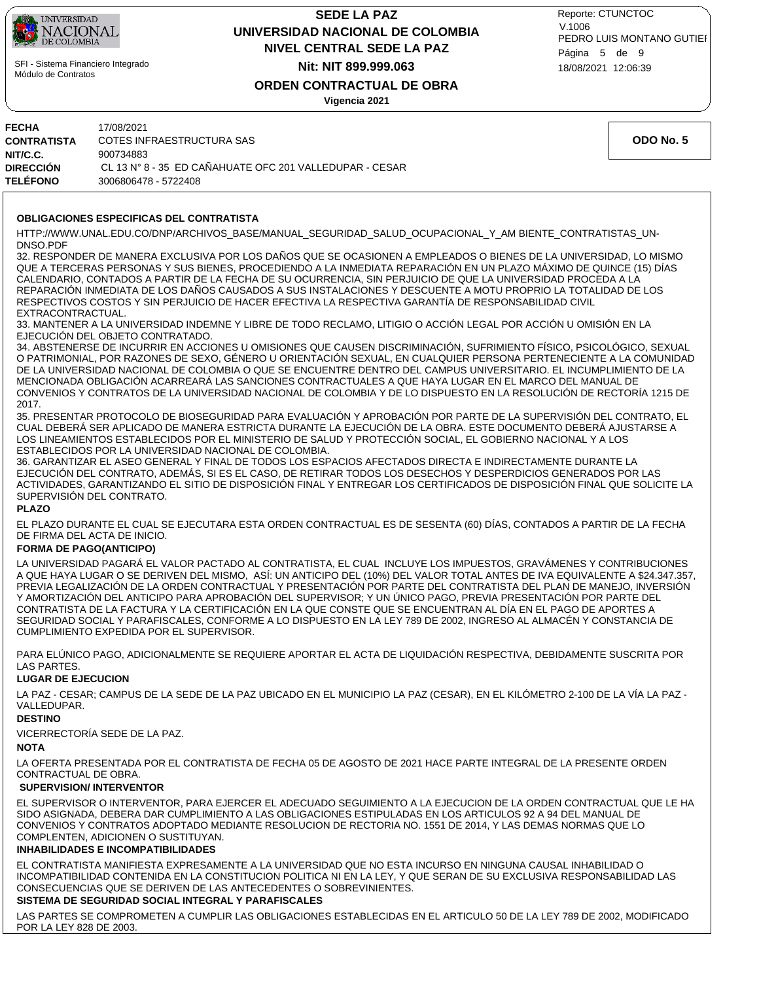

## **NIVEL CENTRAL SEDE LA PAZ SEDE LA PAZ UNIVERSIDAD NACIONAL DE COLOMBIA Nit: NIT 899.999.063**

18/08/2021 12:06:39 PEDRO LUIS MONTANO GUTIEI Reporte: CTUNCTOC V.1006 Página 5 de 9

### **ORDEN CONTRACTUAL DE OBRA**

**Vigencia 2021**

| <b>FECHA</b><br><b>CONTRATISTA</b><br>NIT/C.C. | 17/08/2021<br>COTES INFRAESTRUCTURA SAS<br>900734883                            | ODO No. 5 |
|------------------------------------------------|---------------------------------------------------------------------------------|-----------|
| <b>DIRECCIÓN</b><br><b>TELÉFONO</b>            | CL 13 N° 8 - 35 ED CAÑAHUATE OFC 201 VALLEDUPAR - CESAR<br>3006806478 - 5722408 |           |
|                                                |                                                                                 |           |

#### **OBLIGACIONES ESPECIFICAS DEL CONTRATISTA**

HTTP://WWW.UNAL.EDU.CO/DNP/ARCHIVOS\_BASE/MANUAL\_SEGURIDAD\_SALUD\_OCUPACIONAL\_Y\_AM BIENTE\_CONTRATISTAS\_UN-DNSO.PDF

32. RESPONDER DE MANERA EXCLUSIVA POR LOS DAÑOS QUE SE OCASIONEN A EMPLEADOS O BIENES DE LA UNIVERSIDAD, LO MISMO QUE A TERCERAS PERSONAS Y SUS BIENES, PROCEDIENDO A LA INMEDIATA REPARACIÓN EN UN PLAZO MÁXIMO DE QUINCE (15) DÍAS CALENDARIO, CONTADOS A PARTIR DE LA FECHA DE SU OCURRENCIA, SIN PERJUICIO DE QUE LA UNIVERSIDAD PROCEDA A LA REPARACIÓN INMEDIATA DE LOS DAÑOS CAUSADOS A SUS INSTALACIONES Y DESCUENTE A MOTU PROPRIO LA TOTALIDAD DE LOS RESPECTIVOS COSTOS Y SIN PERJUICIO DE HACER EFECTIVA LA RESPECTIVA GARANTÍA DE RESPONSABILIDAD CIVIL EXTRACONTRACTUAL.

33. MANTENER A LA UNIVERSIDAD INDEMNE Y LIBRE DE TODO RECLAMO, LITIGIO O ACCIÓN LEGAL POR ACCIÓN U OMISIÓN EN LA EJECUCIÓN DEL OBJETO CONTRATADO.

34. ABSTENERSE DE INCURRIR EN ACCIONES U OMISIONES QUE CAUSEN DISCRIMINACIÓN, SUFRIMIENTO FÍSICO, PSICOLÓGICO, SEXUAL O PATRIMONIAL, POR RAZONES DE SEXO, GÉNERO U ORIENTACIÓN SEXUAL, EN CUALQUIER PERSONA PERTENECIENTE A LA COMUNIDAD DE LA UNIVERSIDAD NACIONAL DE COLOMBIA O QUE SE ENCUENTRE DENTRO DEL CAMPUS UNIVERSITARIO. EL INCUMPLIMIENTO DE LA MENCIONADA OBLIGACIÓN ACARREARÁ LAS SANCIONES CONTRACTUALES A QUE HAYA LUGAR EN EL MARCO DEL MANUAL DE CONVENIOS Y CONTRATOS DE LA UNIVERSIDAD NACIONAL DE COLOMBIA Y DE LO DISPUESTO EN LA RESOLUCIÓN DE RECTORÍA 1215 DE 2017.

35. PRESENTAR PROTOCOLO DE BIOSEGURIDAD PARA EVALUACIÓN Y APROBACIÓN POR PARTE DE LA SUPERVISIÓN DEL CONTRATO, EL CUAL DEBERÁ SER APLICADO DE MANERA ESTRICTA DURANTE LA EJECUCIÓN DE LA OBRA. ESTE DOCUMENTO DEBERÁ AJUSTARSE A LOS LINEAMIENTOS ESTABLECIDOS POR EL MINISTERIO DE SALUD Y PROTECCIÓN SOCIAL, EL GOBIERNO NACIONAL Y A LOS ESTABLECIDOS POR LA UNIVERSIDAD NACIONAL DE COLOMBIA.

36. GARANTIZAR EL ASEO GENERAL Y FINAL DE TODOS LOS ESPACIOS AFECTADOS DIRECTA E INDIRECTAMENTE DURANTE LA EJECUCIÓN DEL CONTRATO, ADEMÁS, SI ES EL CASO, DE RETIRAR TODOS LOS DESECHOS Y DESPERDICIOS GENERADOS POR LAS ACTIVIDADES, GARANTIZANDO EL SITIO DE DISPOSICIÓN FINAL Y ENTREGAR LOS CERTIFICADOS DE DISPOSICIÓN FINAL QUE SOLICITE LA SUPERVISIÓN DEL CONTRATO.

#### **PLAZO**

EL PLAZO DURANTE EL CUAL SE EJECUTARA ESTA ORDEN CONTRACTUAL ES DE SESENTA (60) DÍAS, CONTADOS A PARTIR DE LA FECHA DE FIRMA DEL ACTA DE INICIO.

#### **FORMA DE PAGO(ANTICIPO)**

LA UNIVERSIDAD PAGARÁ EL VALOR PACTADO AL CONTRATISTA, EL CUAL INCLUYE LOS IMPUESTOS, GRAVÁMENES Y CONTRIBUCIONES A QUE HAYA LUGAR O SE DERIVEN DEL MISMO, ASÍ: UN ANTICIPO DEL (10%) DEL VALOR TOTAL ANTES DE IVA EQUIVALENTE A \$24.347.357, PREVIA LEGALIZACIÓN DE LA ORDEN CONTRACTUAL Y PRESENTACIÓN POR PARTE DEL CONTRATISTA DEL PLAN DE MANEJO, INVERSIÓN Y AMORTIZACIÓN DEL ANTICIPO PARA APROBACIÓN DEL SUPERVISOR; Y UN ÚNICO PAGO, PREVIA PRESENTACIÓN POR PARTE DEL CONTRATISTA DE LA FACTURA Y LA CERTIFICACIÓN EN LA QUE CONSTE QUE SE ENCUENTRAN AL DÍA EN EL PAGO DE APORTES A SEGURIDAD SOCIAL Y PARAFISCALES, CONFORME A LO DISPUESTO EN LA LEY 789 DE 2002, INGRESO AL ALMACÉN Y CONSTANCIA DE CUMPLIMIENTO EXPEDIDA POR EL SUPERVISOR.

PARA ELÚNICO PAGO, ADICIONALMENTE SE REQUIERE APORTAR EL ACTA DE LIQUIDACIÓN RESPECTIVA, DEBIDAMENTE SUSCRITA POR LAS PARTES.

#### **LUGAR DE EJECUCION**

LA PAZ - CESAR; CAMPUS DE LA SEDE DE LA PAZ UBICADO EN EL MUNICIPIO LA PAZ (CESAR), EN EL KILÓMETRO 2-100 DE LA VÍA LA PAZ - VALLEDUPAR.

#### **DESTINO**

VICERRECTORÍA SEDE DE LA PAZ.

#### **NOTA**

LA OFERTA PRESENTADA POR EL CONTRATISTA DE FECHA 05 DE AGOSTO DE 2021 HACE PARTE INTEGRAL DE LA PRESENTE ORDEN CONTRACTUAL DE OBRA.

#### **SUPERVISION/ INTERVENTOR**

EL SUPERVISOR O INTERVENTOR, PARA EJERCER EL ADECUADO SEGUIMIENTO A LA EJECUCION DE LA ORDEN CONTRACTUAL QUE LE HA SIDO ASIGNADA, DEBERA DAR CUMPLIMIENTO A LAS OBLIGACIONES ESTIPULADAS EN LOS ARTICULOS 92 A 94 DEL MANUAL DE CONVENIOS Y CONTRATOS ADOPTADO MEDIANTE RESOLUCION DE RECTORIA NO. 1551 DE 2014, Y LAS DEMAS NORMAS QUE LO COMPLENTEN, ADICIONEN O SUSTITUYAN.

#### **INHABILIDADES E INCOMPATIBILIDADES**

EL CONTRATISTA MANIFIESTA EXPRESAMENTE A LA UNIVERSIDAD QUE NO ESTA INCURSO EN NINGUNA CAUSAL INHABILIDAD O INCOMPATIBILIDAD CONTENIDA EN LA CONSTITUCION POLITICA NI EN LA LEY, Y QUE SERAN DE SU EXCLUSIVA RESPONSABILIDAD LAS CONSECUENCIAS QUE SE DERIVEN DE LAS ANTECEDENTES O SOBREVINIENTES.

### **SISTEMA DE SEGURIDAD SOCIAL INTEGRAL Y PARAFISCALES**

LAS PARTES SE COMPROMETEN A CUMPLIR LAS OBLIGACIONES ESTABLECIDAS EN EL ARTICULO 50 DE LA LEY 789 DE 2002, MODIFICADO POR LA LEY 828 DE 2003.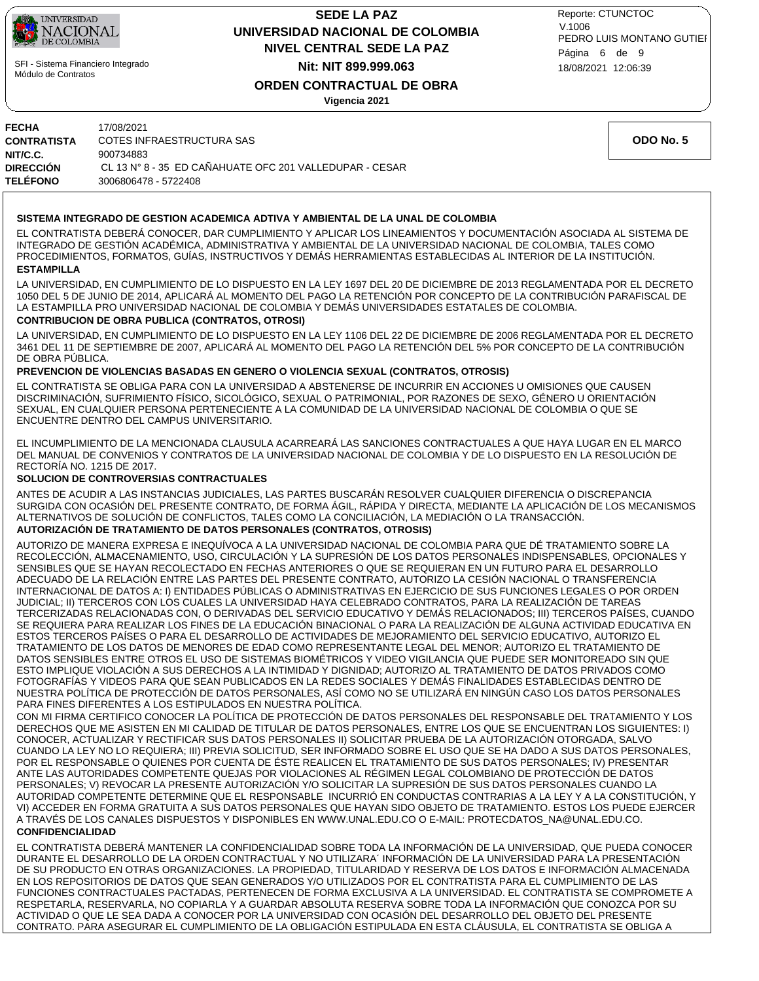

## **NIVEL CENTRAL SEDE LA PAZ SEDE LA PAZ UNIVERSIDAD NACIONAL DE COLOMBIA Nit: NIT 899.999.063**

18/08/2021 12:06:39 PEDRO LUIS MONTANO GUTIEI Reporte: CTUNCTOC V.1006 Página 6 de 9

## **ORDEN CONTRACTUAL DE OBRA**

**Vigencia 2021**

| FECHA       | 17/08/2021                                              |
|-------------|---------------------------------------------------------|
| CONTRATISTA | COTES INFRAESTRUCTURA SAS                               |
| NIT/C.C.    | 900734883                                               |
| DIRECCIÓN   | CL 13 N° 8 - 35 ED CAÑAHUATE OFC 201 VALLEDUPAR - CESAR |
| TELÉFONO    | 3006806478 - 5722408                                    |

#### **SISTEMA INTEGRADO DE GESTION ACADEMICA ADTIVA Y AMBIENTAL DE LA UNAL DE COLOMBIA**

**ESTAMPILLA** EL CONTRATISTA DEBERÁ CONOCER, DAR CUMPLIMIENTO Y APLICAR LOS LINEAMIENTOS Y DOCUMENTACIÓN ASOCIADA AL SISTEMA DE INTEGRADO DE GESTIÓN ACADÉMICA, ADMINISTRATIVA Y AMBIENTAL DE LA UNIVERSIDAD NACIONAL DE COLOMBIA, TALES COMO PROCEDIMIENTOS, FORMATOS, GUÍAS, INSTRUCTIVOS Y DEMÁS HERRAMIENTAS ESTABLECIDAS AL INTERIOR DE LA INSTITUCIÓN.

LA UNIVERSIDAD, EN CUMPLIMIENTO DE LO DISPUESTO EN LA LEY 1697 DEL 20 DE DICIEMBRE DE 2013 REGLAMENTADA POR EL DECRETO 1050 DEL 5 DE JUNIO DE 2014, APLICARÁ AL MOMENTO DEL PAGO LA RETENCIÓN POR CONCEPTO DE LA CONTRIBUCIÓN PARAFISCAL DE LA ESTAMPILLA PRO UNIVERSIDAD NACIONAL DE COLOMBIA Y DEMÁS UNIVERSIDADES ESTATALES DE COLOMBIA.

#### **CONTRIBUCION DE OBRA PUBLICA (CONTRATOS, OTROSI)**

LA UNIVERSIDAD, EN CUMPLIMIENTO DE LO DISPUESTO EN LA LEY 1106 DEL 22 DE DICIEMBRE DE 2006 REGLAMENTADA POR EL DECRETO 3461 DEL 11 DE SEPTIEMBRE DE 2007, APLICARÁ AL MOMENTO DEL PAGO LA RETENCIÓN DEL 5% POR CONCEPTO DE LA CONTRIBUCIÓN DE OBRA PÚBLICA.

#### **PREVENCION DE VIOLENCIAS BASADAS EN GENERO O VIOLENCIA SEXUAL (CONTRATOS, OTROSIS)**

EL CONTRATISTA SE OBLIGA PARA CON LA UNIVERSIDAD A ABSTENERSE DE INCURRIR EN ACCIONES U OMISIONES QUE CAUSEN DISCRIMINACIÓN, SUFRIMIENTO FÍSICO, SICOLÓGICO, SEXUAL O PATRIMONIAL, POR RAZONES DE SEXO, GÉNERO U ORIENTACIÓN SEXUAL, EN CUALQUIER PERSONA PERTENECIENTE A LA COMUNIDAD DE LA UNIVERSIDAD NACIONAL DE COLOMBIA O QUE SE ENCUENTRE DENTRO DEL CAMPUS UNIVERSITARIO.

EL INCUMPLIMIENTO DE LA MENCIONADA CLAUSULA ACARREARÁ LAS SANCIONES CONTRACTUALES A QUE HAYA LUGAR EN EL MARCO DEL MANUAL DE CONVENIOS Y CONTRATOS DE LA UNIVERSIDAD NACIONAL DE COLOMBIA Y DE LO DISPUESTO EN LA RESOLUCIÓN DE RECTORÍA NO. 1215 DE 2017.

#### **SOLUCION DE CONTROVERSIAS CONTRACTUALES**

ANTES DE ACUDIR A LAS INSTANCIAS JUDICIALES, LAS PARTES BUSCARÁN RESOLVER CUALQUIER DIFERENCIA O DISCREPANCIA SURGIDA CON OCASIÓN DEL PRESENTE CONTRATO, DE FORMA ÁGIL, RÁPIDA Y DIRECTA, MEDIANTE LA APLICACIÓN DE LOS MECANISMOS ALTERNATIVOS DE SOLUCIÓN DE CONFLICTOS, TALES COMO LA CONCILIACIÓN, LA MEDIACIÓN O LA TRANSACCIÓN.

#### **AUTORIZACIÓN DE TRATAMIENTO DE DATOS PERSONALES (CONTRATOS, OTROSIS)**

AUTORIZO DE MANERA EXPRESA E INEQUÍVOCA A LA UNIVERSIDAD NACIONAL DE COLOMBIA PARA QUE DÉ TRATAMIENTO SOBRE LA RECOLECCIÓN, ALMACENAMIENTO, USO, CIRCULACIÓN Y LA SUPRESIÓN DE LOS DATOS PERSONALES INDISPENSABLES, OPCIONALES Y SENSIBLES QUE SE HAYAN RECOLECTADO EN FECHAS ANTERIORES O QUE SE REQUIERAN EN UN FUTURO PARA EL DESARROLLO ADECUADO DE LA RELACIÓN ENTRE LAS PARTES DEL PRESENTE CONTRATO, AUTORIZO LA CESIÓN NACIONAL O TRANSFERENCIA INTERNACIONAL DE DATOS A: I) ENTIDADES PÚBLICAS O ADMINISTRATIVAS EN EJERCICIO DE SUS FUNCIONES LEGALES O POR ORDEN JUDICIAL; II) TERCEROS CON LOS CUALES LA UNIVERSIDAD HAYA CELEBRADO CONTRATOS, PARA LA REALIZACIÓN DE TAREAS TERCERIZADAS RELACIONADAS CON, O DERIVADAS DEL SERVICIO EDUCATIVO Y DEMÁS RELACIONADOS; III) TERCEROS PAÍSES, CUANDO SE REQUIERA PARA REALIZAR LOS FINES DE LA EDUCACIÓN BINACIONAL O PARA LA REALIZACIÓN DE ALGUNA ACTIVIDAD EDUCATIVA EN ESTOS TERCEROS PAÍSES O PARA EL DESARROLLO DE ACTIVIDADES DE MEJORAMIENTO DEL SERVICIO EDUCATIVO, AUTORIZO EL TRATAMIENTO DE LOS DATOS DE MENORES DE EDAD COMO REPRESENTANTE LEGAL DEL MENOR; AUTORIZO EL TRATAMIENTO DE DATOS SENSIBLES ENTRE OTROS EL USO DE SISTEMAS BIOMÉTRICOS Y VIDEO VIGILANCIA QUE PUEDE SER MONITOREADO SIN QUE ESTO IMPLIQUE VIOLACIÓN A SUS DERECHOS A LA INTIMIDAD Y DIGNIDAD; AUTORIZO AL TRATAMIENTO DE DATOS PRIVADOS COMO FOTOGRAFÍAS Y VIDEOS PARA QUE SEAN PUBLICADOS EN LA REDES SOCIALES Y DEMÁS FINALIDADES ESTABLECIDAS DENTRO DE NUESTRA POLÍTICA DE PROTECCIÓN DE DATOS PERSONALES, ASÍ COMO NO SE UTILIZARÁ EN NINGÚN CASO LOS DATOS PERSONALES PARA FINES DIFERENTES A LOS ESTIPULADOS EN NUESTRA POLÍTICA.

CON MI FIRMA CERTIFICO CONOCER LA POLÍTICA DE PROTECCIÓN DE DATOS PERSONALES DEL RESPONSABLE DEL TRATAMIENTO Y LOS DERECHOS QUE ME ASISTEN EN MI CALIDAD DE TITULAR DE DATOS PERSONALES, ENTRE LOS QUE SE ENCUENTRAN LOS SIGUIENTES: I) CONOCER, ACTUALIZAR Y RECTIFICAR SUS DATOS PERSONALES II) SOLICITAR PRUEBA DE LA AUTORIZACIÓN OTORGADA, SALVO CUANDO LA LEY NO LO REQUIERA; III) PREVIA SOLICITUD, SER INFORMADO SOBRE EL USO QUE SE HA DADO A SUS DATOS PERSONALES, POR EL RESPONSABLE O QUIENES POR CUENTA DE ÉSTE REALICEN EL TRATAMIENTO DE SUS DATOS PERSONALES; IV) PRESENTAR ANTE LAS AUTORIDADES COMPETENTE QUEJAS POR VIOLACIONES AL RÉGIMEN LEGAL COLOMBIANO DE PROTECCIÓN DE DATOS PERSONALES; V) REVOCAR LA PRESENTE AUTORIZACIÓN Y/O SOLICITAR LA SUPRESIÓN DE SUS DATOS PERSONALES CUANDO LA AUTORIDAD COMPETENTE DETERMINE QUE EL RESPONSABLE INCURRIÓ EN CONDUCTAS CONTRARIAS A LA LEY Y A LA CONSTITUCIÓN, Y VI) ACCEDER EN FORMA GRATUITA A SUS DATOS PERSONALES QUE HAYAN SIDO OBJETO DE TRATAMIENTO. ESTOS LOS PUEDE EJERCER A TRAVÉS DE LOS CANALES DISPUESTOS Y DISPONIBLES EN WWW.UNAL.EDU.CO O E-MAIL: PROTECDATOS\_NA@UNAL.EDU.CO.

#### **CONFIDENCIALIDAD**

EL CONTRATISTA DEBERÁ MANTENER LA CONFIDENCIALIDAD SOBRE TODA LA INFORMACIÓN DE LA UNIVERSIDAD, QUE PUEDA CONOCER DURANTE EL DESARROLLO DE LA ORDEN CONTRACTUAL Y NO UTILIZARA´ INFORMACIÓN DE LA UNIVERSIDAD PARA LA PRESENTACIÓN DE SU PRODUCTO EN OTRAS ORGANIZACIONES. LA PROPIEDAD, TITULARIDAD Y RESERVA DE LOS DATOS E INFORMACIÓN ALMACENADA EN LOS REPOSITORIOS DE DATOS QUE SEAN GENERADOS Y/O UTILIZADOS POR EL CONTRATISTA PARA EL CUMPLIMIENTO DE LAS FUNCIONES CONTRACTUALES PACTADAS, PERTENECEN DE FORMA EXCLUSIVA A LA UNIVERSIDAD. EL CONTRATISTA SE COMPROMETE A RESPETARLA, RESERVARLA, NO COPIARLA Y A GUARDAR ABSOLUTA RESERVA SOBRE TODA LA INFORMACIÓN QUE CONOZCA POR SU ACTIVIDAD O QUE LE SEA DADA A CONOCER POR LA UNIVERSIDAD CON OCASIÓN DEL DESARROLLO DEL OBJETO DEL PRESENTE CONTRATO. PARA ASEGURAR EL CUMPLIMIENTO DE LA OBLIGACIÓN ESTIPULADA EN ESTA CLÁUSULA, EL CONTRATISTA SE OBLIGA A

**ODO No. 5**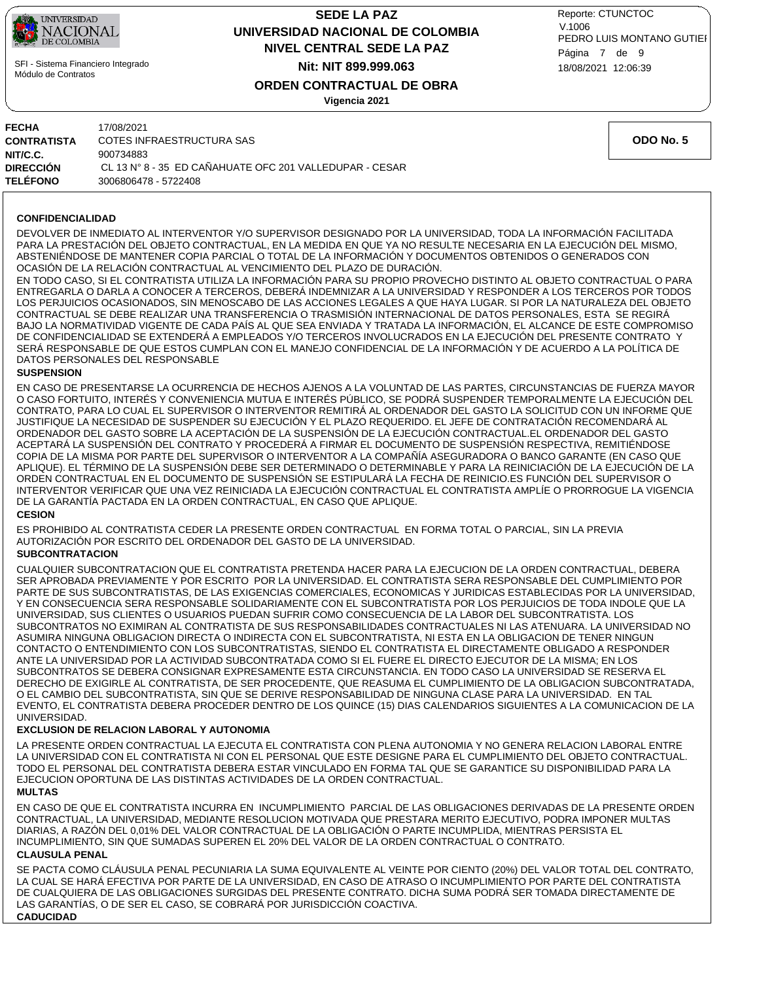

## **NIVEL CENTRAL SEDE LA PAZ SEDE LA PAZ UNIVERSIDAD NACIONAL DE COLOMBIA Nit: NIT 899.999.063**

18/08/2021 12:06:39 PEDRO LUIS MONTANO GUTIEI Reporte: CTUNCTOC V.1006 Página 7 de 9

**ODO No. 5**

## **ORDEN CONTRACTUAL DE OBRA**

**Vigencia 2021**

#### **CONFIDENCIALIDAD**

DEVOLVER DE INMEDIATO AL INTERVENTOR Y/O SUPERVISOR DESIGNADO POR LA UNIVERSIDAD, TODA LA INFORMACIÓN FACILITADA PARA LA PRESTACIÓN DEL OBJETO CONTRACTUAL, EN LA MEDIDA EN QUE YA NO RESULTE NECESARIA EN LA EJECUCIÓN DEL MISMO, ABSTENIÉNDOSE DE MANTENER COPIA PARCIAL O TOTAL DE LA INFORMACIÓN Y DOCUMENTOS OBTENIDOS O GENERADOS CON OCASIÓN DE LA RELACIÓN CONTRACTUAL AL VENCIMIENTO DEL PLAZO DE DURACIÓN.

EN TODO CASO, SI EL CONTRATISTA UTILIZA LA INFORMACIÓN PARA SU PROPIO PROVECHO DISTINTO AL OBJETO CONTRACTUAL O PARA ENTREGARLA O DARLA A CONOCER A TERCEROS, DEBERÁ INDEMNIZAR A LA UNIVERSIDAD Y RESPONDER A LOS TERCEROS POR TODOS LOS PERJUICIOS OCASIONADOS, SIN MENOSCABO DE LAS ACCIONES LEGALES A QUE HAYA LUGAR. SI POR LA NATURALEZA DEL OBJETO CONTRACTUAL SE DEBE REALIZAR UNA TRANSFERENCIA O TRASMISIÓN INTERNACIONAL DE DATOS PERSONALES, ESTA SE REGIRÁ BAJO LA NORMATIVIDAD VIGENTE DE CADA PAÍS AL QUE SEA ENVIADA Y TRATADA LA INFORMACIÓN, EL ALCANCE DE ESTE COMPROMISO DE CONFIDENCIALIDAD SE EXTENDERÁ A EMPLEADOS Y/O TERCEROS INVOLUCRADOS EN LA EJECUCIÓN DEL PRESENTE CONTRATO Y SERÁ RESPONSABLE DE QUE ESTOS CUMPLAN CON EL MANEJO CONFIDENCIAL DE LA INFORMACIÓN Y DE ACUERDO A LA POLÍTICA DE DATOS PERSONALES DEL RESPONSABLE

#### **SUSPENSION**

EN CASO DE PRESENTARSE LA OCURRENCIA DE HECHOS AJENOS A LA VOLUNTAD DE LAS PARTES, CIRCUNSTANCIAS DE FUERZA MAYOR O CASO FORTUITO, INTERÉS Y CONVENIENCIA MUTUA E INTERÉS PÚBLICO, SE PODRÁ SUSPENDER TEMPORALMENTE LA EJECUCIÓN DEL CONTRATO, PARA LO CUAL EL SUPERVISOR O INTERVENTOR REMITIRÁ AL ORDENADOR DEL GASTO LA SOLICITUD CON UN INFORME QUE JUSTIFIQUE LA NECESIDAD DE SUSPENDER SU EJECUCIÓN Y EL PLAZO REQUERIDO. EL JEFE DE CONTRATACIÓN RECOMENDARÁ AL ORDENADOR DEL GASTO SOBRE LA ACEPTACIÓN DE LA SUSPENSIÓN DE LA EJECUCIÓN CONTRACTUAL.EL ORDENADOR DEL GASTO ACEPTARÁ LA SUSPENSIÓN DEL CONTRATO Y PROCEDERÁ A FIRMAR EL DOCUMENTO DE SUSPENSIÓN RESPECTIVA, REMITIÉNDOSE COPIA DE LA MISMA POR PARTE DEL SUPERVISOR O INTERVENTOR A LA COMPAÑÍA ASEGURADORA O BANCO GARANTE (EN CASO QUE APLIQUE). EL TÉRMINO DE LA SUSPENSIÓN DEBE SER DETERMINADO O DETERMINABLE Y PARA LA REINICIACIÓN DE LA EJECUCIÓN DE LA ORDEN CONTRACTUAL EN EL DOCUMENTO DE SUSPENSIÓN SE ESTIPULARÁ LA FECHA DE REINICIO.ES FUNCIÓN DEL SUPERVISOR O INTERVENTOR VERIFICAR QUE UNA VEZ REINICIADA LA EJECUCIÓN CONTRACTUAL EL CONTRATISTA AMPLÍE O PRORROGUE LA VIGENCIA DE LA GARANTÍA PACTADA EN LA ORDEN CONTRACTUAL, EN CASO QUE APLIQUE.

#### **CESION**

ES PROHIBIDO AL CONTRATISTA CEDER LA PRESENTE ORDEN CONTRACTUAL EN FORMA TOTAL O PARCIAL, SIN LA PREVIA AUTORIZACIÓN POR ESCRITO DEL ORDENADOR DEL GASTO DE LA UNIVERSIDAD.

#### **SUBCONTRATACION**

CUALQUIER SUBCONTRATACION QUE EL CONTRATISTA PRETENDA HACER PARA LA EJECUCION DE LA ORDEN CONTRACTUAL, DEBERA SER APROBADA PREVIAMENTE Y POR ESCRITO POR LA UNIVERSIDAD. EL CONTRATISTA SERA RESPONSABLE DEL CUMPLIMIENTO POR PARTE DE SUS SUBCONTRATISTAS, DE LAS EXIGENCIAS COMERCIALES, ECONOMICAS Y JURIDICAS ESTABLECIDAS POR LA UNIVERSIDAD, Y EN CONSECUENCIA SERA RESPONSABLE SOLIDARIAMENTE CON EL SUBCONTRATISTA POR LOS PERJUICIOS DE TODA INDOLE QUE LA UNIVERSIDAD, SUS CLIENTES O USUARIOS PUEDAN SUFRIR COMO CONSECUENCIA DE LA LABOR DEL SUBCONTRATISTA. LOS SUBCONTRATOS NO EXIMIRAN AL CONTRATISTA DE SUS RESPONSABILIDADES CONTRACTUALES NI LAS ATENUARA. LA UNIVERSIDAD NO ASUMIRA NINGUNA OBLIGACION DIRECTA O INDIRECTA CON EL SUBCONTRATISTA, NI ESTA EN LA OBLIGACION DE TENER NINGUN CONTACTO O ENTENDIMIENTO CON LOS SUBCONTRATISTAS, SIENDO EL CONTRATISTA EL DIRECTAMENTE OBLIGADO A RESPONDER ANTE LA UNIVERSIDAD POR LA ACTIVIDAD SUBCONTRATADA COMO SI EL FUERE EL DIRECTO EJECUTOR DE LA MISMA; EN LOS SUBCONTRATOS SE DEBERA CONSIGNAR EXPRESAMENTE ESTA CIRCUNSTANCIA. EN TODO CASO LA UNIVERSIDAD SE RESERVA EL DERECHO DE EXIGIRLE AL CONTRATISTA, DE SER PROCEDENTE, QUE REASUMA EL CUMPLIMIENTO DE LA OBLIGACION SUBCONTRATADA, O EL CAMBIO DEL SUBCONTRATISTA, SIN QUE SE DERIVE RESPONSABILIDAD DE NINGUNA CLASE PARA LA UNIVERSIDAD. EN TAL EVENTO, EL CONTRATISTA DEBERA PROCEDER DENTRO DE LOS QUINCE (15) DIAS CALENDARIOS SIGUIENTES A LA COMUNICACION DE LA UNIVERSIDAD.

#### **EXCLUSION DE RELACION LABORAL Y AUTONOMIA**

LA PRESENTE ORDEN CONTRACTUAL LA EJECUTA EL CONTRATISTA CON PLENA AUTONOMIA Y NO GENERA RELACION LABORAL ENTRE LA UNIVERSIDAD CON EL CONTRATISTA NI CON EL PERSONAL QUE ESTE DESIGNE PARA EL CUMPLIMIENTO DEL OBJETO CONTRACTUAL. TODO EL PERSONAL DEL CONTRATISTA DEBERA ESTAR VINCULADO EN FORMA TAL QUE SE GARANTICE SU DISPONIBILIDAD PARA LA EJECUCION OPORTUNA DE LAS DISTINTAS ACTIVIDADES DE LA ORDEN CONTRACTUAL.

#### **MULTAS**

EN CASO DE QUE EL CONTRATISTA INCURRA EN INCUMPLIMIENTO PARCIAL DE LAS OBLIGACIONES DERIVADAS DE LA PRESENTE ORDEN CONTRACTUAL, LA UNIVERSIDAD, MEDIANTE RESOLUCION MOTIVADA QUE PRESTARA MERITO EJECUTIVO, PODRA IMPONER MULTAS DIARIAS, A RAZÓN DEL 0,01% DEL VALOR CONTRACTUAL DE LA OBLIGACIÓN O PARTE INCUMPLIDA, MIENTRAS PERSISTA EL INCUMPLIMIENTO, SIN QUE SUMADAS SUPEREN EL 20% DEL VALOR DE LA ORDEN CONTRACTUAL O CONTRATO.

#### **CLAUSULA PENAL**

**CADUCIDAD** SE PACTA COMO CLÁUSULA PENAL PECUNIARIA LA SUMA EQUIVALENTE AL VEINTE POR CIENTO (20%) DEL VALOR TOTAL DEL CONTRATO, LA CUAL SE HARÁ EFECTIVA POR PARTE DE LA UNIVERSIDAD, EN CASO DE ATRASO O INCUMPLIMIENTO POR PARTE DEL CONTRATISTA DE CUALQUIERA DE LAS OBLIGACIONES SURGIDAS DEL PRESENTE CONTRATO. DICHA SUMA PODRÁ SER TOMADA DIRECTAMENTE DE LAS GARANTÍAS, O DE SER EL CASO, SE COBRARÁ POR JURISDICCIÓN COACTIVA.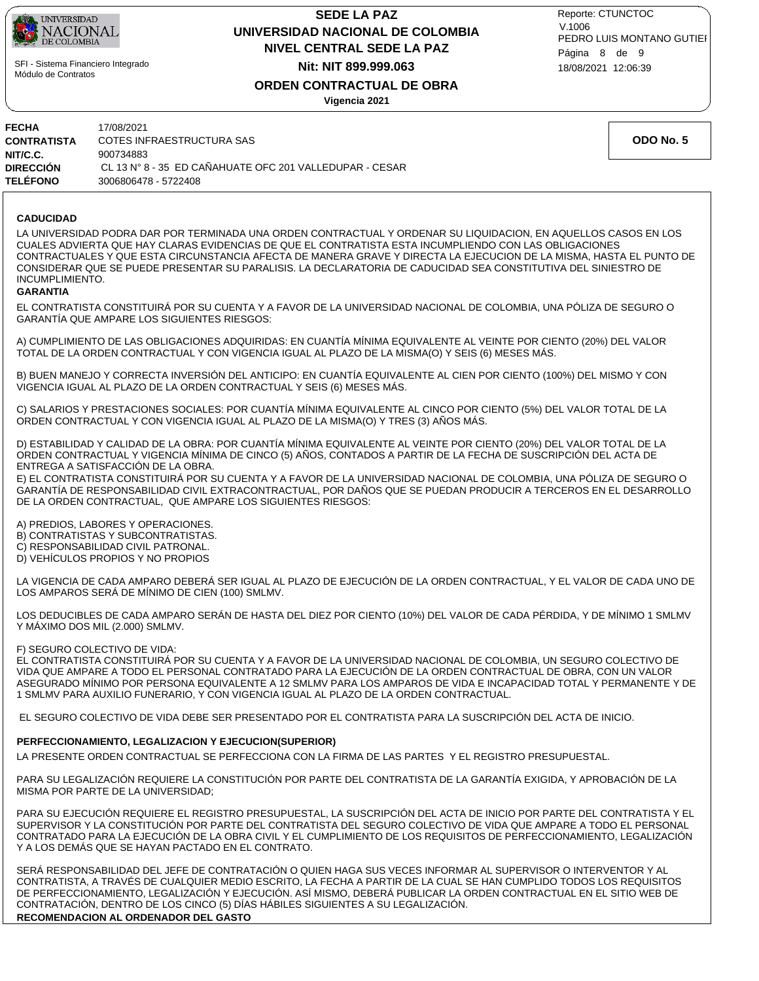

## **NIVEL CENTRAL SEDE LA PAZ SEDE LA PAZ UNIVERSIDAD NACIONAL DE COLOMBIA Nit: NIT 899.999.063**

18/08/2021 12:06:39 PEDRO LUIS MONTANO GUTIEI Reporte: CTUNCTOC V.1006 Página 8 de 9

## **ORDEN CONTRACTUAL DE OBRA**

**Vigencia 2021**

| FECHA           | 17/08/2021                                              |
|-----------------|---------------------------------------------------------|
| CONTRATISTA     | COTES INFRAESTRUCTURA SAS                               |
| NIT/C.C.        | 900734883                                               |
| DIRECCIÓN       | CL 13 N° 8 - 35 ED CAÑAHUATE OFC 201 VALLEDUPAR - CESAR |
| <b>TELÉFONO</b> | 3006806478 - 5722408                                    |

#### **CADUCIDAD**

LA UNIVERSIDAD PODRA DAR POR TERMINADA UNA ORDEN CONTRACTUAL Y ORDENAR SU LIQUIDACION, EN AQUELLOS CASOS EN LOS CUALES ADVIERTA QUE HAY CLARAS EVIDENCIAS DE QUE EL CONTRATISTA ESTA INCUMPLIENDO CON LAS OBLIGACIONES CONTRACTUALES Y QUE ESTA CIRCUNSTANCIA AFECTA DE MANERA GRAVE Y DIRECTA LA EJECUCION DE LA MISMA, HASTA EL PUNTO DE CONSIDERAR QUE SE PUEDE PRESENTAR SU PARALISIS. LA DECLARATORIA DE CADUCIDAD SEA CONSTITUTIVA DEL SINIESTRO DE INCUMPLIMIENTO.

#### **GARANTIA**

EL CONTRATISTA CONSTITUIRÁ POR SU CUENTA Y A FAVOR DE LA UNIVERSIDAD NACIONAL DE COLOMBIA, UNA PÓLIZA DE SEGURO O GARANTÍA QUE AMPARE LOS SIGUIENTES RIESGOS:

A) CUMPLIMIENTO DE LAS OBLIGACIONES ADQUIRIDAS: EN CUANTÍA MÍNIMA EQUIVALENTE AL VEINTE POR CIENTO (20%) DEL VALOR TOTAL DE LA ORDEN CONTRACTUAL Y CON VIGENCIA IGUAL AL PLAZO DE LA MISMA(O) Y SEIS (6) MESES MÁS.

B) BUEN MANEJO Y CORRECTA INVERSIÓN DEL ANTICIPO: EN CUANTÍA EQUIVALENTE AL CIEN POR CIENTO (100%) DEL MISMO Y CON VIGENCIA IGUAL AL PLAZO DE LA ORDEN CONTRACTUAL Y SEIS (6) MESES MÁS.

C) SALARIOS Y PRESTACIONES SOCIALES: POR CUANTÍA MÍNIMA EQUIVALENTE AL CINCO POR CIENTO (5%) DEL VALOR TOTAL DE LA ORDEN CONTRACTUAL Y CON VIGENCIA IGUAL AL PLAZO DE LA MISMA(O) Y TRES (3) AÑOS MÁS.

D) ESTABILIDAD Y CALIDAD DE LA OBRA: POR CUANTÍA MÍNIMA EQUIVALENTE AL VEINTE POR CIENTO (20%) DEL VALOR TOTAL DE LA ORDEN CONTRACTUAL Y VIGENCIA MÍNIMA DE CINCO (5) AÑOS, CONTADOS A PARTIR DE LA FECHA DE SUSCRIPCIÓN DEL ACTA DE ENTREGA A SATISFACCIÓN DE LA OBRA.

E) EL CONTRATISTA CONSTITUIRÁ POR SU CUENTA Y A FAVOR DE LA UNIVERSIDAD NACIONAL DE COLOMBIA, UNA PÓLIZA DE SEGURO O GARANTÍA DE RESPONSABILIDAD CIVIL EXTRACONTRACTUAL, POR DAÑOS QUE SE PUEDAN PRODUCIR A TERCEROS EN EL DESARROLLO DE LA ORDEN CONTRACTUAL, QUE AMPARE LOS SIGUIENTES RIESGOS:

A) PREDIOS, LABORES Y OPERACIONES.

B) CONTRATISTAS Y SUBCONTRATISTAS.

C) RESPONSABILIDAD CIVIL PATRONAL.

D) VEHÍCULOS PROPIOS Y NO PROPIOS

LA VIGENCIA DE CADA AMPARO DEBERÁ SER IGUAL AL PLAZO DE EJECUCIÓN DE LA ORDEN CONTRACTUAL, Y EL VALOR DE CADA UNO DE LOS AMPAROS SERÁ DE MÍNIMO DE CIEN (100) SMLMV.

LOS DEDUCIBLES DE CADA AMPARO SERÁN DE HASTA DEL DIEZ POR CIENTO (10%) DEL VALOR DE CADA PÉRDIDA, Y DE MÍNIMO 1 SMLMV Y MÁXIMO DOS MIL (2.000) SMLMV.

#### F) SEGURO COLECTIVO DE VIDA:

EL CONTRATISTA CONSTITUIRÁ POR SU CUENTA Y A FAVOR DE LA UNIVERSIDAD NACIONAL DE COLOMBIA, UN SEGURO COLECTIVO DE VIDA QUE AMPARE A TODO EL PERSONAL CONTRATADO PARA LA EJECUCIÓN DE LA ORDEN CONTRACTUAL DE OBRA, CON UN VALOR ASEGURADO MÍNIMO POR PERSONA EQUIVALENTE A 12 SMLMV PARA LOS AMPAROS DE VIDA E INCAPACIDAD TOTAL Y PERMANENTE Y DE 1 SMLMV PARA AUXILIO FUNERARIO, Y CON VIGENCIA IGUAL AL PLAZO DE LA ORDEN CONTRACTUAL.

EL SEGURO COLECTIVO DE VIDA DEBE SER PRESENTADO POR EL CONTRATISTA PARA LA SUSCRIPCIÓN DEL ACTA DE INICIO.

#### **PERFECCIONAMIENTO, LEGALIZACION Y EJECUCION(SUPERIOR)**

LA PRESENTE ORDEN CONTRACTUAL SE PERFECCIONA CON LA FIRMA DE LAS PARTES Y EL REGISTRO PRESUPUESTAL.

PARA SU LEGALIZACIÓN REQUIERE LA CONSTITUCIÓN POR PARTE DEL CONTRATISTA DE LA GARANTÍA EXIGIDA, Y APROBACIÓN DE LA MISMA POR PARTE DE LA UNIVERSIDAD;

PARA SU EJECUCIÓN REQUIERE EL REGISTRO PRESUPUESTAL, LA SUSCRIPCIÓN DEL ACTA DE INICIO POR PARTE DEL CONTRATISTA Y EL SUPERVISOR Y LA CONSTITUCIÓN POR PARTE DEL CONTRATISTA DEL SEGURO COLECTIVO DE VIDA QUE AMPARE A TODO EL PERSONAL CONTRATADO PARA LA EJECUCIÓN DE LA OBRA CIVIL Y EL CUMPLIMIENTO DE LOS REQUISITOS DE PERFECCIONAMIENTO, LEGALIZACIÓN Y A LOS DEMÁS QUE SE HAYAN PACTADO EN EL CONTRATO.

**RECOMENDACION AL ORDENADOR DEL GASTO** SERÁ RESPONSABILIDAD DEL JEFE DE CONTRATACIÓN O QUIEN HAGA SUS VECES INFORMAR AL SUPERVISOR O INTERVENTOR Y AL CONTRATISTA, A TRAVÉS DE CUALQUIER MEDIO ESCRITO, LA FECHA A PARTIR DE LA CUAL SE HAN CUMPLIDO TODOS LOS REQUISITOS DE PERFECCIONAMIENTO, LEGALIZACIÓN Y EJECUCIÓN. ASÍ MISMO, DEBERÁ PUBLICAR LA ORDEN CONTRACTUAL EN EL SITIO WEB DE CONTRATACIÓN, DENTRO DE LOS CINCO (5) DÍAS HÁBILES SIGUIENTES A SU LEGALIZACIÓN.

**ODO No. 5**